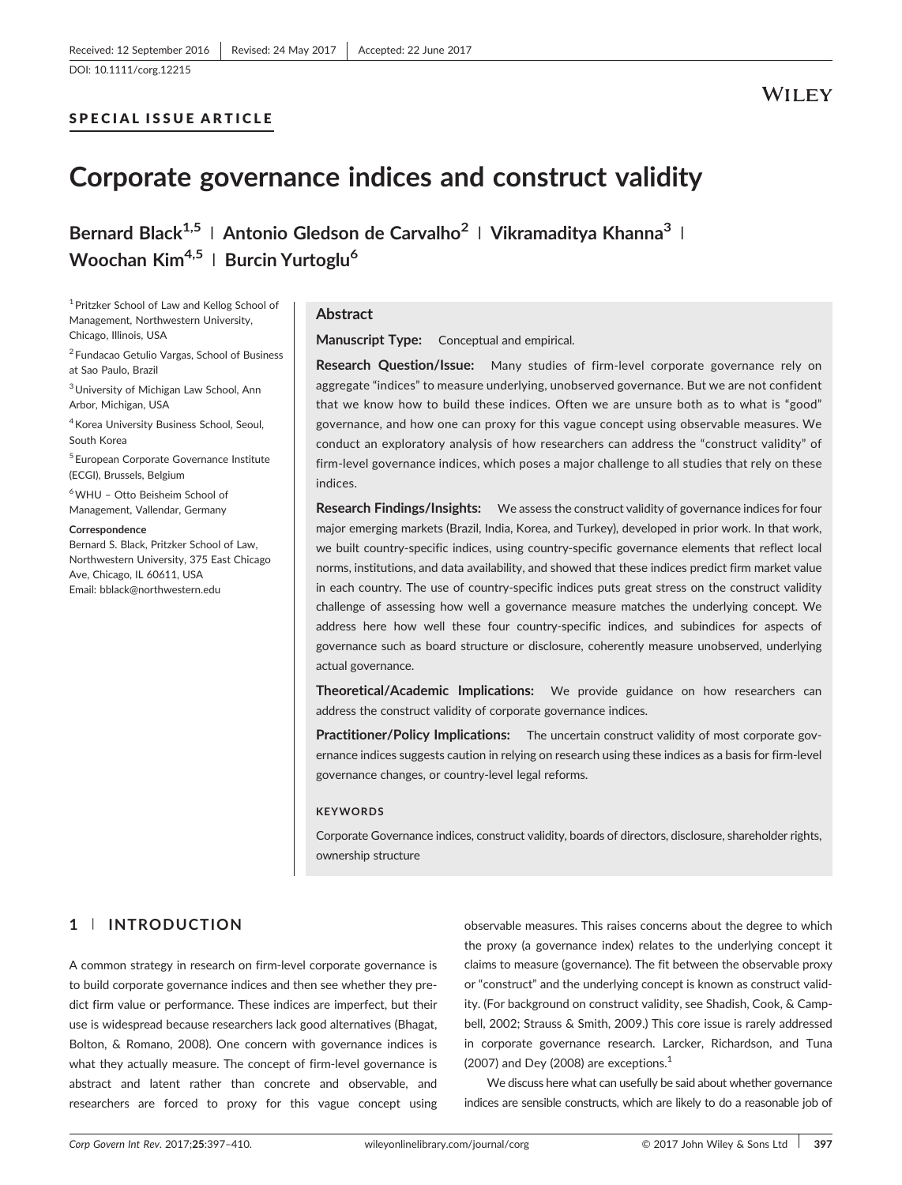### SPECIAL ISSUE ARTICLE

## **WILEY**

# Corporate governance indices and construct validity

Bernard Black<sup>1,5</sup> | Antonio Gledson de Carvalho<sup>2</sup> | Vikramaditya Khanna<sup>3</sup> | Woochan Kim<sup>4,5</sup> | Burcin Yurtoglu<sup>6</sup>

1Pritzker School of Law and Kellog School of Management, Northwestern University, Chicago, Illinois, USA

<sup>2</sup> Fundacao Getulio Vargas, School of Business at Sao Paulo, Brazil

3University of Michigan Law School, Ann Arbor, Michigan, USA

4Korea University Business School, Seoul, South Korea

<sup>5</sup> European Corporate Governance Institute (ECGI), Brussels, Belgium

6WHU – Otto Beisheim School of Management, Vallendar, Germany

#### Correspondence

Bernard S. Black, Pritzker School of Law, Northwestern University, 375 East Chicago Ave, Chicago, IL 60611, USA Email: [bblack@northwestern.edu](mailto:bblack@northwestern.edu)

### Abstract

Manuscript Type: Conceptual and empirical.

Research Question/Issue: Many studies of firm-level corporate governance rely on aggregate "indices" to measure underlying, unobserved governance. But we are not confident that we know how to build these indices. Often we are unsure both as to what is "good" governance, and how one can proxy for this vague concept using observable measures. We conduct an exploratory analysis of how researchers can address the "construct validity" of firm-level governance indices, which poses a major challenge to all studies that rely on these indices.

Research Findings/Insights: We assess the construct validity of governance indices for four major emerging markets (Brazil, India, Korea, and Turkey), developed in prior work. In that work, we built country‐specific indices, using country‐specific governance elements that reflect local norms, institutions, and data availability, and showed that these indices predict firm market value in each country. The use of country‐specific indices puts great stress on the construct validity challenge of assessing how well a governance measure matches the underlying concept. We address here how well these four country‐specific indices, and subindices for aspects of governance such as board structure or disclosure, coherently measure unobserved, underlying actual governance.

Theoretical/Academic Implications: We provide guidance on how researchers can address the construct validity of corporate governance indices.

Practitioner/Policy Implications: The uncertain construct validity of most corporate governance indices suggests caution in relying on research using these indices as a basis for firm‐level governance changes, or country‐level legal reforms.

#### **KEYWORDS**

Corporate Governance indices, construct validity, boards of directors, disclosure, shareholder rights, ownership structure

### 1 | INTRODUCTION

A common strategy in research on firm‐level corporate governance is to build corporate governance indices and then see whether they predict firm value or performance. These indices are imperfect, but their use is widespread because researchers lack good alternatives (Bhagat, Bolton, & Romano, 2008). One concern with governance indices is what they actually measure. The concept of firm-level governance is abstract and latent rather than concrete and observable, and researchers are forced to proxy for this vague concept using

observable measures. This raises concerns about the degree to which the proxy (a governance index) relates to the underlying concept it claims to measure (governance). The fit between the observable proxy or "construct" and the underlying concept is known as construct validity. (For background on construct validity, see Shadish, Cook, & Campbell, 2002; Strauss & Smith, 2009.) This core issue is rarely addressed in corporate governance research. Larcker, Richardson, and Tuna (2007) and Dey (2008) are exceptions. $<sup>1</sup>$ </sup>

We discuss here what can usefully be said about whether governance indices are sensible constructs, which are likely to do a reasonable job of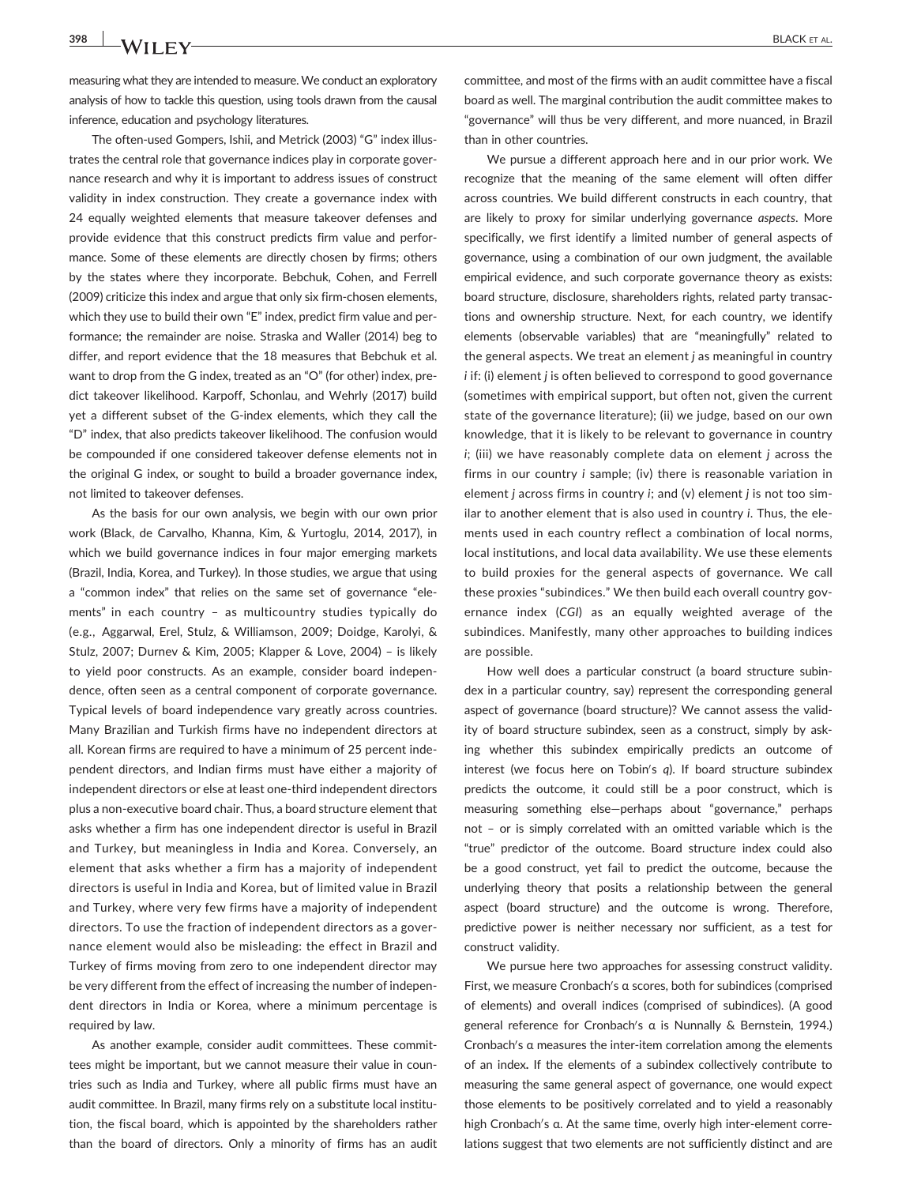measuring what they are intended to measure. We conduct an exploratory analysis of how to tackle this question, using tools drawn from the causal inference, education and psychology literatures.

The often-used Gompers, Ishii, and Metrick (2003) "G" index illustrates the central role that governance indices play in corporate governance research and why it is important to address issues of construct validity in index construction. They create a governance index with 24 equally weighted elements that measure takeover defenses and provide evidence that this construct predicts firm value and performance. Some of these elements are directly chosen by firms; others by the states where they incorporate. Bebchuk, Cohen, and Ferrell (2009) criticize this index and argue that only six firm‐chosen elements, which they use to build their own "E" index, predict firm value and performance; the remainder are noise. Straska and Waller (2014) beg to differ, and report evidence that the 18 measures that Bebchuk et al. want to drop from the G index, treated as an "O" (for other) index, predict takeover likelihood. Karpoff, Schonlau, and Wehrly (2017) build yet a different subset of the G-index elements, which they call the "D" index, that also predicts takeover likelihood. The confusion would be compounded if one considered takeover defense elements not in the original G index, or sought to build a broader governance index, not limited to takeover defenses.

As the basis for our own analysis, we begin with our own prior work (Black, de Carvalho, Khanna, Kim, & Yurtoglu, 2014, 2017), in which we build governance indices in four major emerging markets (Brazil, India, Korea, and Turkey). In those studies, we argue that using a "common index" that relies on the same set of governance "elements" in each country – as multicountry studies typically do (e.g., Aggarwal, Erel, Stulz, & Williamson, 2009; Doidge, Karolyi, & Stulz, 2007; Durnev & Kim, 2005; Klapper & Love, 2004) – is likely to yield poor constructs. As an example, consider board independence, often seen as a central component of corporate governance. Typical levels of board independence vary greatly across countries. Many Brazilian and Turkish firms have no independent directors at all. Korean firms are required to have a minimum of 25 percent independent directors, and Indian firms must have either a majority of independent directors or else at least one‐third independent directors plus a non‐executive board chair. Thus, a board structure element that asks whether a firm has one independent director is useful in Brazil and Turkey, but meaningless in India and Korea. Conversely, an element that asks whether a firm has a majority of independent directors is useful in India and Korea, but of limited value in Brazil and Turkey, where very few firms have a majority of independent directors. To use the fraction of independent directors as a governance element would also be misleading: the effect in Brazil and Turkey of firms moving from zero to one independent director may be very different from the effect of increasing the number of independent directors in India or Korea, where a minimum percentage is required by law.

As another example, consider audit committees. These committees might be important, but we cannot measure their value in countries such as India and Turkey, where all public firms must have an audit committee. In Brazil, many firms rely on a substitute local institution, the fiscal board, which is appointed by the shareholders rather than the board of directors. Only a minority of firms has an audit committee, and most of the firms with an audit committee have a fiscal board as well. The marginal contribution the audit committee makes to "governance" will thus be very different, and more nuanced, in Brazil than in other countries.

We pursue a different approach here and in our prior work. We recognize that the meaning of the same element will often differ across countries. We build different constructs in each country, that are likely to proxy for similar underlying governance aspects. More specifically, we first identify a limited number of general aspects of governance, using a combination of our own judgment, the available empirical evidence, and such corporate governance theory as exists: board structure, disclosure, shareholders rights, related party transactions and ownership structure. Next, for each country, we identify elements (observable variables) that are "meaningfully" related to the general aspects. We treat an element  $j$  as meaningful in country i if: (i) element *j* is often believed to correspond to good governance (sometimes with empirical support, but often not, given the current state of the governance literature); (ii) we judge, based on our own knowledge, that it is likely to be relevant to governance in country  $i$ ; (iii) we have reasonably complete data on element  $j$  across the firms in our country i sample; (iv) there is reasonable variation in element  $j$  across firms in country  $i$ ; and  $(v)$  element  $j$  is not too similar to another element that is also used in country i. Thus, the elements used in each country reflect a combination of local norms, local institutions, and local data availability. We use these elements to build proxies for the general aspects of governance. We call these proxies "subindices." We then build each overall country governance index (CGI) as an equally weighted average of the subindices. Manifestly, many other approaches to building indices are possible.

How well does a particular construct (a board structure subindex in a particular country, say) represent the corresponding general aspect of governance (board structure)? We cannot assess the validity of board structure subindex, seen as a construct, simply by asking whether this subindex empirically predicts an outcome of interest (we focus here on Tobin's  $q$ ). If board structure subindex predicts the outcome, it could still be a poor construct, which is measuring something else—perhaps about "governance," perhaps not – or is simply correlated with an omitted variable which is the "true" predictor of the outcome. Board structure index could also be a good construct, yet fail to predict the outcome, because the underlying theory that posits a relationship between the general aspect (board structure) and the outcome is wrong. Therefore, predictive power is neither necessary nor sufficient, as a test for construct validity.

We pursue here two approaches for assessing construct validity. First, we measure Cronbach's a scores, both for subindices (comprised of elements) and overall indices (comprised of subindices). (A good general reference for Cronbach's α is Nunnally & Bernstein, 1994.) Cronbach's α measures the inter-item correlation among the elements of an index. If the elements of a subindex collectively contribute to measuring the same general aspect of governance, one would expect those elements to be positively correlated and to yield a reasonably high Cronbach's α. At the same time, overly high inter-element correlations suggest that two elements are not sufficiently distinct and are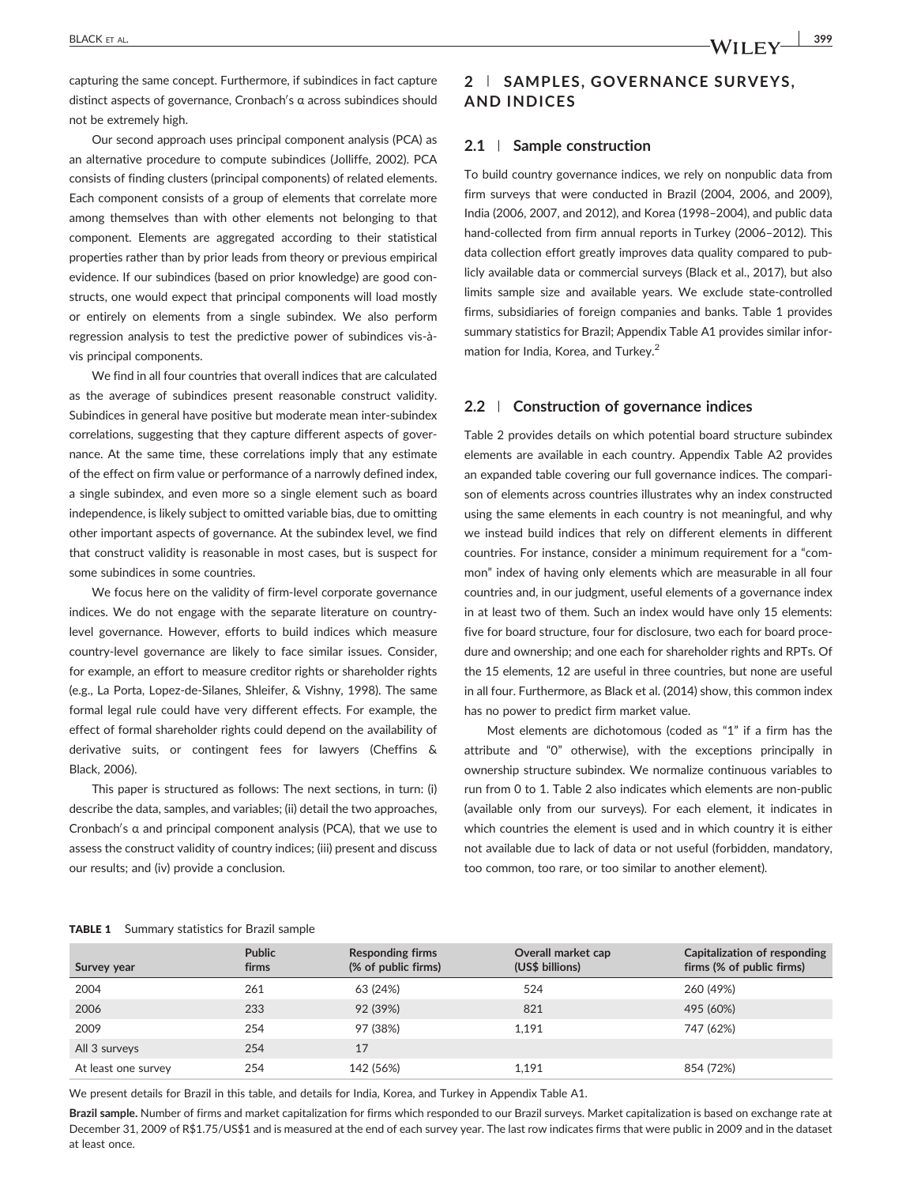capturing the same concept. Furthermore, if subindices in fact capture  ${\sf distinct}$  aspects of governance, Cronbach's  $\alpha$  across subindices should not be extremely high.

Our second approach uses principal component analysis (PCA) as an alternative procedure to compute subindices (Jolliffe, 2002). PCA consists of finding clusters (principal components) of related elements. Each component consists of a group of elements that correlate more among themselves than with other elements not belonging to that component. Elements are aggregated according to their statistical properties rather than by prior leads from theory or previous empirical evidence. If our subindices (based on prior knowledge) are good constructs, one would expect that principal components will load mostly or entirely on elements from a single subindex. We also perform regression analysis to test the predictive power of subindices vis‐à‐ vis principal components.

We find in all four countries that overall indices that are calculated as the average of subindices present reasonable construct validity. Subindices in general have positive but moderate mean inter‐subindex correlations, suggesting that they capture different aspects of governance. At the same time, these correlations imply that any estimate of the effect on firm value or performance of a narrowly defined index, a single subindex, and even more so a single element such as board independence, is likely subject to omitted variable bias, due to omitting other important aspects of governance. At the subindex level, we find that construct validity is reasonable in most cases, but is suspect for some subindices in some countries.

We focus here on the validity of firm-level corporate governance indices. We do not engage with the separate literature on country‐ level governance. However, efforts to build indices which measure country‐level governance are likely to face similar issues. Consider, for example, an effort to measure creditor rights or shareholder rights (e.g., La Porta, Lopez‐de‐Silanes, Shleifer, & Vishny, 1998). The same formal legal rule could have very different effects. For example, the effect of formal shareholder rights could depend on the availability of derivative suits, or contingent fees for lawyers (Cheffins & Black, 2006).

This paper is structured as follows: The next sections, in turn: (i) describe the data, samples, and variables; (ii) detail the two approaches, Cronbach's α and principal component analysis (PCA), that we use to assess the construct validity of country indices; (iii) present and discuss our results; and (iv) provide a conclusion.

### 2 | SAMPLES, GOVERNANCE SURVEYS, AND INDICES

### 2.1 | Sample construction

To build country governance indices, we rely on nonpublic data from firm surveys that were conducted in Brazil (2004, 2006, and 2009), India (2006, 2007, and 2012), and Korea (1998–2004), and public data hand-collected from firm annual reports in Turkey (2006–2012). This data collection effort greatly improves data quality compared to publicly available data or commercial surveys (Black et al., 2017), but also limits sample size and available years. We exclude state‐controlled firms, subsidiaries of foreign companies and banks. Table 1 provides summary statistics for Brazil; Appendix Table A1 provides similar information for India, Korea, and Turkey.<sup>2</sup>

### 2.2 | Construction of governance indices

Table 2 provides details on which potential board structure subindex elements are available in each country. Appendix Table A2 provides an expanded table covering our full governance indices. The comparison of elements across countries illustrates why an index constructed using the same elements in each country is not meaningful, and why we instead build indices that rely on different elements in different countries. For instance, consider a minimum requirement for a "common" index of having only elements which are measurable in all four countries and, in our judgment, useful elements of a governance index in at least two of them. Such an index would have only 15 elements: five for board structure, four for disclosure, two each for board procedure and ownership; and one each for shareholder rights and RPTs. Of the 15 elements, 12 are useful in three countries, but none are useful in all four. Furthermore, as Black et al. (2014) show, this common index has no power to predict firm market value.

Most elements are dichotomous (coded as "1" if a firm has the attribute and "0" otherwise), with the exceptions principally in ownership structure subindex. We normalize continuous variables to run from 0 to 1. Table 2 also indicates which elements are non‐public (available only from our surveys). For each element, it indicates in which countries the element is used and in which country it is either not available due to lack of data or not useful (forbidden, mandatory, too common, too rare, or too similar to another element).

|  | <b>TABLE 1</b> Summary statistics for Brazil sample |  |  |  |  |
|--|-----------------------------------------------------|--|--|--|--|
|--|-----------------------------------------------------|--|--|--|--|

| <b>Survey year</b>  | <b>Public</b><br>firms | <b>Responding firms</b><br>(% of public firms) | Overall market cap<br>(US\$ billions) | Capitalization of responding<br>firms (% of public firms) |
|---------------------|------------------------|------------------------------------------------|---------------------------------------|-----------------------------------------------------------|
| 2004                | 261                    | 63 (24%)                                       | 524                                   | 260 (49%)                                                 |
| 2006                | 233                    | 92 (39%)                                       | 821                                   | 495 (60%)                                                 |
| 2009                | 254                    | 97 (38%)                                       | 1.191                                 | 747 (62%)                                                 |
| All 3 surveys       | 254                    | 17                                             |                                       |                                                           |
| At least one survey | 254                    | 142 (56%)                                      | 1.191                                 | 854 (72%)                                                 |

We present details for Brazil in this table, and details for India, Korea, and Turkey in Appendix Table A1.

Brazil sample. Number of firms and market capitalization for firms which responded to our Brazil surveys. Market capitalization is based on exchange rate at December 31, 2009 of R\$1.75/US\$1 and is measured at the end of each survey year. The last row indicates firms that were public in 2009 and in the dataset at least once.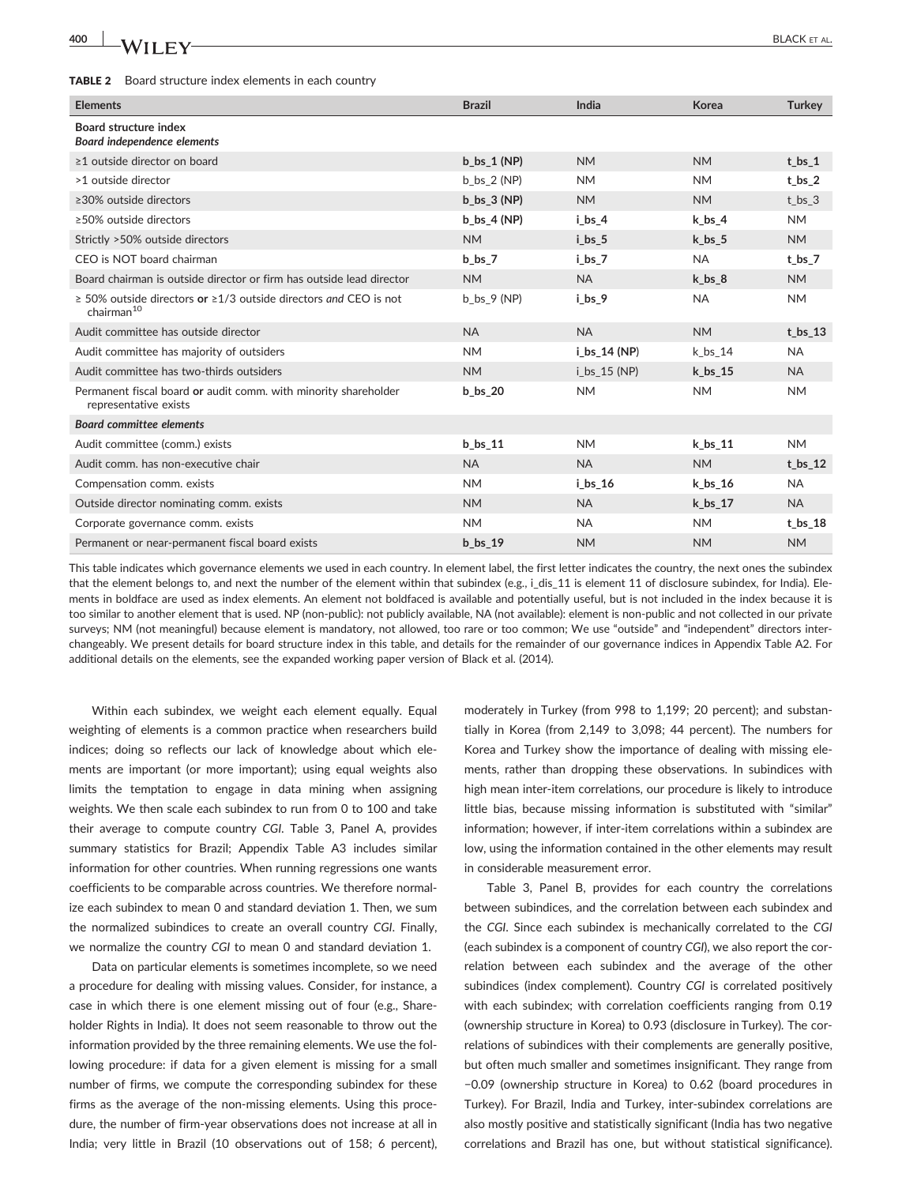400 NA/TIFIX/

#### TABLE 2 Board structure index elements in each country

| <b>Elements</b>                                                                                     | <b>Brazil</b>  | India                   | <b>Korea</b> | <b>Turkey</b>         |
|-----------------------------------------------------------------------------------------------------|----------------|-------------------------|--------------|-----------------------|
| Board structure index<br>Board independence elements                                                |                |                         |              |                       |
| ≥1 outside director on board                                                                        | $b$ bs $1(NP)$ | <b>NM</b>               | <b>NM</b>    | $t_{bs_1}$            |
| >1 outside director                                                                                 | $b_bs_2(NP)$   | <b>NM</b>               | <b>NM</b>    | $t$ bs 2              |
| ≥30% outside directors                                                                              | $b_bs_3(NP)$   | <b>NM</b>               | <b>NM</b>    | $t$ bs $3$            |
| ≥50% outside directors                                                                              | $b_bs_4(NP)$   | $i$ <sub>bs</sub> $4$   | $k$ bs $4$   | <b>NM</b>             |
| Strictly >50% outside directors                                                                     | <b>NM</b>      | $i$ <sub>bs</sub> $5$   | $k$ _bs_5    | <b>NM</b>             |
| CEO is NOT board chairman                                                                           | $b$ _bs_7      | i_bs_7                  | <b>NA</b>    | $t_{bs}$ .7           |
| Board chairman is outside director or firm has outside lead director                                | <b>NM</b>      | <b>NA</b>               | k bs 8       | <b>NM</b>             |
| $\ge$ 50% outside directors or $\ge$ 1/3 outside directors and CEO is not<br>chairman <sup>10</sup> | $b_bs_9$ (NP)  | $i$ bs $9$              | <b>NA</b>    | <b>NM</b>             |
| Audit committee has outside director                                                                | <b>NA</b>      | <b>NA</b>               | <b>NM</b>    | $t$ bs $13$           |
| Audit committee has majority of outsiders                                                           | <b>NM</b>      | i_bs_14 (NP)            | $k$ _bs_14   | <b>NA</b>             |
| Audit committee has two-thirds outsiders                                                            | <b>NM</b>      | $i_bs_15$ (NP)          | k bs 15      | <b>NA</b>             |
| Permanent fiscal board or audit comm. with minority shareholder<br>representative exists            | $b$ bs 20      | <b>NM</b>               | <b>NM</b>    | <b>NM</b>             |
| Board committee elements                                                                            |                |                         |              |                       |
| Audit committee (comm.) exists                                                                      | b bs 11        | <b>NM</b>               | k bs 11      | <b>NM</b>             |
| Audit comm. has non-executive chair                                                                 | <b>NA</b>      | <b>NA</b>               | <b>NM</b>    | $t$ _bs_12            |
| Compensation comm. exists                                                                           | <b>NM</b>      | $i$ <sub>bs</sub> $-16$ | $k_bs_16$    | <b>NA</b>             |
| Outside director nominating comm. exists                                                            | <b>NM</b>      | <b>NA</b>               | k bs 17      | <b>NA</b>             |
| Corporate governance comm. exists                                                                   | <b>NM</b>      | <b>NA</b>               | <b>NM</b>    | $t$ <sub>_bs_18</sub> |
| Permanent or near-permanent fiscal board exists                                                     | $b$ _bs_19     | <b>NM</b>               | <b>NM</b>    | <b>NM</b>             |

This table indicates which governance elements we used in each country. In element label, the first letter indicates the country, the next ones the subindex that the element belongs to, and next the number of the element within that subindex (e.g., i\_dis\_11 is element 11 of disclosure subindex, for India). Elements in boldface are used as index elements. An element not boldfaced is available and potentially useful, but is not included in the index because it is too similar to another element that is used. NP (non-public): not publicly available, NA (not available): element is non-public and not collected in our private surveys; NM (not meaningful) because element is mandatory, not allowed, too rare or too common; We use "outside" and "independent" directors interchangeably. We present details for board structure index in this table, and details for the remainder of our governance indices in Appendix Table A2. For additional details on the elements, see the expanded working paper version of Black et al. (2014).

Within each subindex, we weight each element equally. Equal weighting of elements is a common practice when researchers build indices; doing so reflects our lack of knowledge about which elements are important (or more important); using equal weights also limits the temptation to engage in data mining when assigning weights. We then scale each subindex to run from 0 to 100 and take their average to compute country CGI. Table 3, Panel A, provides summary statistics for Brazil; Appendix Table A3 includes similar information for other countries. When running regressions one wants coefficients to be comparable across countries. We therefore normalize each subindex to mean 0 and standard deviation 1. Then, we sum the normalized subindices to create an overall country CGI. Finally, we normalize the country CGI to mean 0 and standard deviation 1.

Data on particular elements is sometimes incomplete, so we need a procedure for dealing with missing values. Consider, for instance, a case in which there is one element missing out of four (e.g., Shareholder Rights in India). It does not seem reasonable to throw out the information provided by the three remaining elements. We use the following procedure: if data for a given element is missing for a small number of firms, we compute the corresponding subindex for these firms as the average of the non-missing elements. Using this procedure, the number of firm‐year observations does not increase at all in India; very little in Brazil (10 observations out of 158; 6 percent), moderately in Turkey (from 998 to 1,199; 20 percent); and substantially in Korea (from 2,149 to 3,098; 44 percent). The numbers for Korea and Turkey show the importance of dealing with missing elements, rather than dropping these observations. In subindices with high mean inter‐item correlations, our procedure is likely to introduce little bias, because missing information is substituted with "similar" information; however, if inter‐item correlations within a subindex are low, using the information contained in the other elements may result in considerable measurement error.

Table 3, Panel B, provides for each country the correlations between subindices, and the correlation between each subindex and the CGI. Since each subindex is mechanically correlated to the CGI (each subindex is a component of country CGI), we also report the correlation between each subindex and the average of the other subindices (index complement). Country CGI is correlated positively with each subindex; with correlation coefficients ranging from 0.19 (ownership structure in Korea) to 0.93 (disclosure in Turkey). The correlations of subindices with their complements are generally positive, but often much smaller and sometimes insignificant. They range from −0.09 (ownership structure in Korea) to 0.62 (board procedures in Turkey). For Brazil, India and Turkey, inter‐subindex correlations are also mostly positive and statistically significant (India has two negative correlations and Brazil has one, but without statistical significance).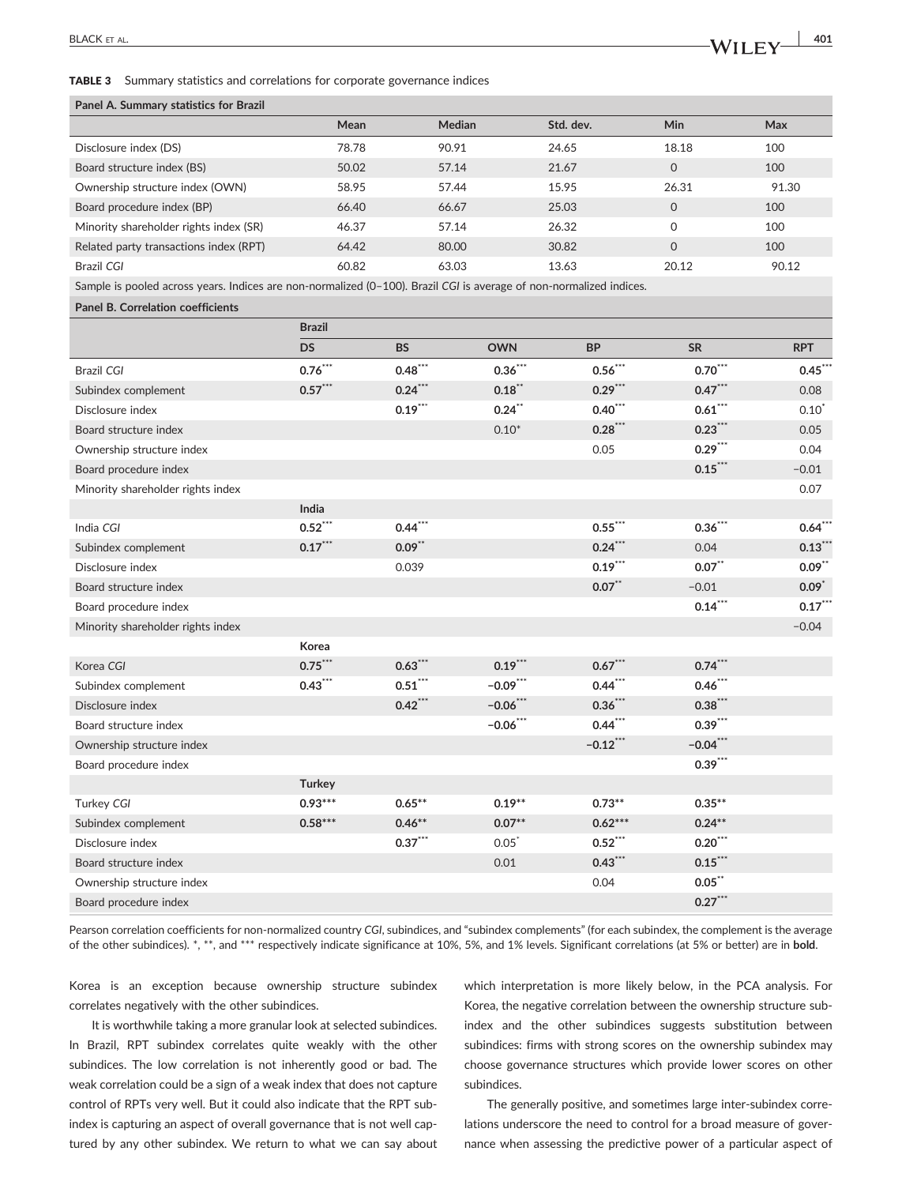#### TABLE 3 Summary statistics and correlations for corporate governance indices

| Panel A. Summary statistics for Brazil |       |        |           |          |       |  |  |  |
|----------------------------------------|-------|--------|-----------|----------|-------|--|--|--|
|                                        | Mean  | Median | Std. dev. | Min      | Max   |  |  |  |
| Disclosure index (DS)                  | 78.78 | 90.91  | 24.65     | 18.18    | 100   |  |  |  |
| Board structure index (BS)             | 50.02 | 57.14  | 21.67     | $\Omega$ | 100   |  |  |  |
| Ownership structure index (OWN)        | 58.95 | 57.44  | 15.95     | 26.31    | 91.30 |  |  |  |
| Board procedure index (BP)             | 66.40 | 66.67  | 25.03     | $\Omega$ | 100   |  |  |  |
| Minority shareholder rights index (SR) | 46.37 | 57.14  | 26.32     | 0        | 100   |  |  |  |
| Related party transactions index (RPT) | 64.42 | 80.00  | 30.82     | $\Omega$ | 100   |  |  |  |
| Brazil CGI                             | 60.82 | 63.03  | 13.63     | 20.12    | 90.12 |  |  |  |

Sample is pooled across years. Indices are non-normalized (0-100). Brazil CGI is average of non-normalized indices.

#### Panel B. Correlation coefficients

|                                   | <b>Brazil</b> |                      |             |                        |                      |                      |  |
|-----------------------------------|---------------|----------------------|-------------|------------------------|----------------------|----------------------|--|
|                                   | <b>DS</b>     | <b>BS</b>            | <b>OWN</b>  | <b>BP</b>              | <b>SR</b>            | <b>RPT</b>           |  |
| <b>Brazil CGI</b>                 | $0.76***$     | $0.48$ ***           | $0.36***$   | $0.56$ ***             | $0.70$ ***           | $0.45$ **            |  |
| Subindex complement               | $0.57***$     | $0.24$ ***           | 0.18        | $0.29***$              | $0.47$ ***           | 0.08                 |  |
| Disclosure index                  |               | $0.19$ ***           | $0.24$ **   | $0.40$ ***             | $0.61$ ***           | $0.10$ <sup>*</sup>  |  |
| Board structure index             |               |                      | $0.10*$     | $0.28$ ***             | $0.23***$            | 0.05                 |  |
| Ownership structure index         |               |                      |             | 0.05                   | $0.29***$            | 0.04                 |  |
| Board procedure index             |               |                      |             |                        | $0.15***$            | $-0.01$              |  |
| Minority shareholder rights index |               |                      |             |                        |                      | 0.07                 |  |
|                                   | India         |                      |             |                        |                      |                      |  |
| India CGI                         | $0.52$ ***    | $0.44$ ***           |             | $0.55\overset{***}{ }$ | $0.36***$            | $0.64$ **            |  |
| Subindex complement               | $0.17$ ***    | $0.09$ <sup>**</sup> |             | $0.24$ ***             | 0.04                 | $0.13$ *             |  |
| Disclosure index                  |               | 0.039                |             | $0.19***$              | $0.07$ <sup>**</sup> | $0.09$ <sup>**</sup> |  |
| Board structure index             |               |                      |             | $0.07$ **              | $-0.01$              | $0.09$ <sup>*</sup>  |  |
| Board procedure index             |               |                      |             |                        | $0.14***$            | $0.17***$            |  |
| Minority shareholder rights index |               |                      |             |                        |                      | $-0.04$              |  |
|                                   | Korea         |                      |             |                        |                      |                      |  |
| Korea CGI                         | $0.75***$     | $0.63$ ***           | $0.19***$   | $0.67***$              | $0.74***$            |                      |  |
| Subindex complement               | $0.43***$     | $0.51$ ***           | $-0.09$ *** | $0.44$ ***             | $0.46$ ***           |                      |  |
| Disclosure index                  |               | $0.42$ ***           | $-0.06$ *** | $0.36***$              | $0.38***$            |                      |  |
| Board structure index             |               |                      | $-0.06***$  | $0.44$ ***             | $0.39***$            |                      |  |
| Ownership structure index         |               |                      |             | $-0.12$ ***            | $-0.04$ ***          |                      |  |
| Board procedure index             |               |                      |             |                        | $0.39***$            |                      |  |
|                                   | <b>Turkey</b> |                      |             |                        |                      |                      |  |
| <b>Turkey CGI</b>                 | $0.93***$     | $0.65***$            | $0.19**$    | $0.73***$              | $0.35***$            |                      |  |
| Subindex complement               | $0.58***$     | $0.46**$             | $0.07**$    | $0.62***$              | $0.24***$            |                      |  |
| Disclosure index                  |               | $0.37$ ***           | $0.05^*$    | $0.52$ ***             | $0.20$ ***           |                      |  |
| Board structure index             |               |                      | 0.01        | $0.43***$              | $0.15***$            |                      |  |
| Ownership structure index         |               |                      |             | 0.04                   | $0.05$ **            |                      |  |
| Board procedure index             |               |                      |             |                        | $0.27***$            |                      |  |

Pearson correlation coefficients for non-normalized country CGI, subindices, and "subindex complements" (for each subindex, the complement is the average of the other subindices). \*, \*\*, and \*\*\* respectively indicate significance at 10%, 5%, and 1% levels. Significant correlations (at 5% or better) are in bold.

Korea is an exception because ownership structure subindex correlates negatively with the other subindices.

It is worthwhile taking a more granular look at selected subindices. In Brazil, RPT subindex correlates quite weakly with the other subindices. The low correlation is not inherently good or bad. The weak correlation could be a sign of a weak index that does not capture control of RPTs very well. But it could also indicate that the RPT subindex is capturing an aspect of overall governance that is not well captured by any other subindex. We return to what we can say about which interpretation is more likely below, in the PCA analysis. For Korea, the negative correlation between the ownership structure subindex and the other subindices suggests substitution between subindices: firms with strong scores on the ownership subindex may choose governance structures which provide lower scores on other subindices.

The generally positive, and sometimes large inter‐subindex correlations underscore the need to control for a broad measure of governance when assessing the predictive power of a particular aspect of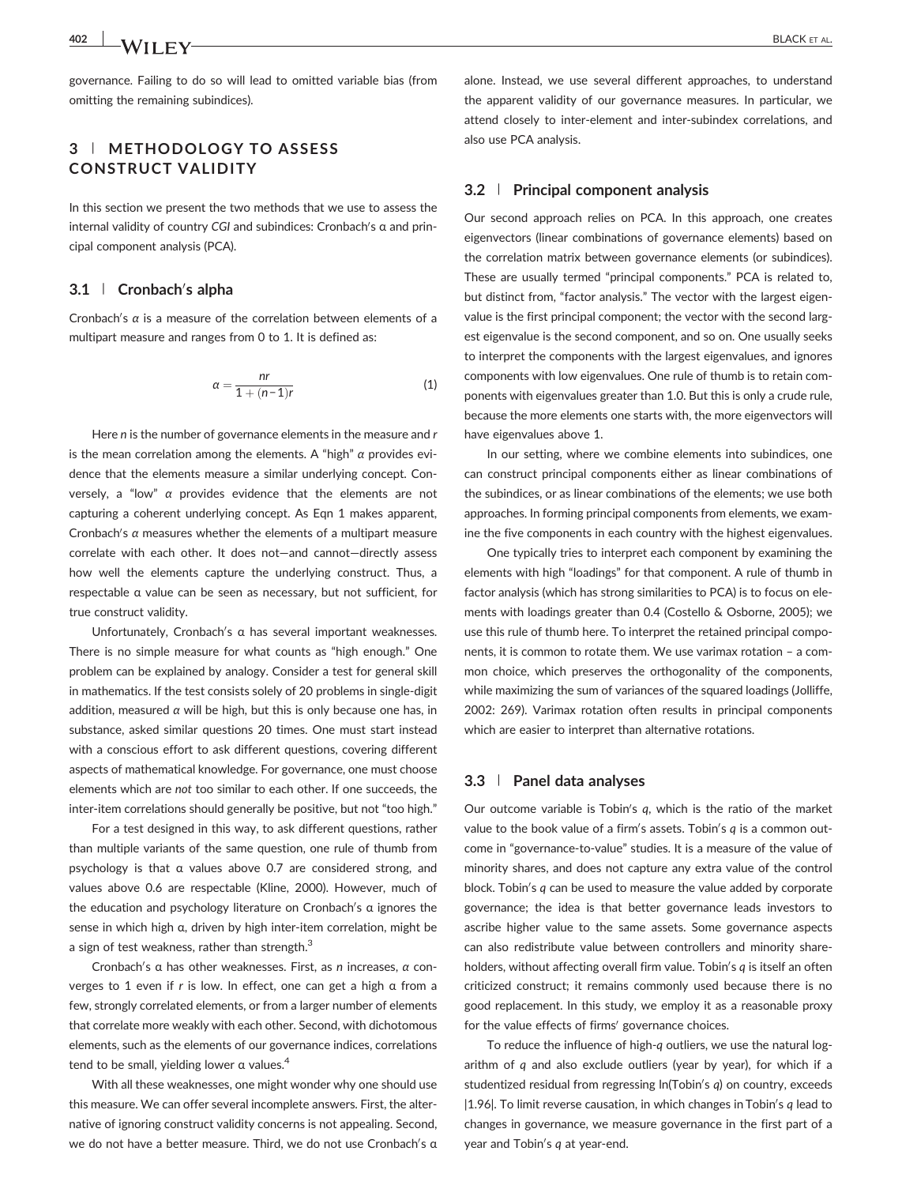governance. Failing to do so will lead to omitted variable bias (from omitting the remaining subindices).

### 3 | METHODOLOGY TO ASSESS CONSTRUCT VALIDITY

In this section we present the two methods that we use to assess the internal validity of country CGI and subindices: Cronbach's α and principal component analysis (PCA).

### 3.1 Cronbach's alpha

Cronbach's  $\alpha$  is a measure of the correlation between elements of a multipart measure and ranges from 0 to 1. It is defined as:

$$
\alpha = \frac{nr}{1 + (n-1)r} \tag{1}
$$

Here n is the number of governance elements in the measure and r is the mean correlation among the elements. A "high"  $\alpha$  provides evidence that the elements measure a similar underlying concept. Conversely, a "low"  $\alpha$  provides evidence that the elements are not capturing a coherent underlying concept. As Eqn 1 makes apparent, Cronbach's  $\alpha$  measures whether the elements of a multipart measure correlate with each other. It does not—and cannot—directly assess how well the elements capture the underlying construct. Thus, a respectable α value can be seen as necessary, but not sufficient, for true construct validity.

Unfortunately, Cronbach's α has several important weaknesses. There is no simple measure for what counts as "high enough." One problem can be explained by analogy. Consider a test for general skill in mathematics. If the test consists solely of 20 problems in single‐digit addition, measured  $\alpha$  will be high, but this is only because one has, in substance, asked similar questions 20 times. One must start instead with a conscious effort to ask different questions, covering different aspects of mathematical knowledge. For governance, one must choose elements which are not too similar to each other. If one succeeds, the inter-item correlations should generally be positive, but not "too high."

For a test designed in this way, to ask different questions, rather than multiple variants of the same question, one rule of thumb from psychology is that α values above 0.7 are considered strong, and values above 0.6 are respectable (Kline, 2000). However, much of the education and psychology literature on Cronbach's α ignores the sense in which high α, driven by high inter‐item correlation, might be a sign of test weakness, rather than strength.<sup>3</sup>

Cronbach's  $\alpha$  has other weaknesses. First, as n increases,  $\alpha$  converges to 1 even if r is low. In effect, one can get a high α from a few, strongly correlated elements, or from a larger number of elements that correlate more weakly with each other. Second, with dichotomous elements, such as the elements of our governance indices, correlations tend to be small, yielding lower α values.<sup>4</sup>

With all these weaknesses, one might wonder why one should use this measure. We can offer several incomplete answers. First, the alternative of ignoring construct validity concerns is not appealing. Second, we do not have a better measure. Third, we do not use Cronbach's α

alone. Instead, we use several different approaches, to understand the apparent validity of our governance measures. In particular, we attend closely to inter‐element and inter‐subindex correlations, and also use PCA analysis.

### 3.2 | Principal component analysis

Our second approach relies on PCA. In this approach, one creates eigenvectors (linear combinations of governance elements) based on the correlation matrix between governance elements (or subindices). These are usually termed "principal components." PCA is related to, but distinct from, "factor analysis." The vector with the largest eigenvalue is the first principal component; the vector with the second largest eigenvalue is the second component, and so on. One usually seeks to interpret the components with the largest eigenvalues, and ignores components with low eigenvalues. One rule of thumb is to retain components with eigenvalues greater than 1.0. But this is only a crude rule, because the more elements one starts with, the more eigenvectors will have eigenvalues above 1.

In our setting, where we combine elements into subindices, one can construct principal components either as linear combinations of the subindices, or as linear combinations of the elements; we use both approaches. In forming principal components from elements, we examine the five components in each country with the highest eigenvalues.

One typically tries to interpret each component by examining the elements with high "loadings" for that component. A rule of thumb in factor analysis (which has strong similarities to PCA) is to focus on elements with loadings greater than 0.4 (Costello & Osborne, 2005); we use this rule of thumb here. To interpret the retained principal components, it is common to rotate them. We use varimax rotation – a common choice, which preserves the orthogonality of the components, while maximizing the sum of variances of the squared loadings (Jolliffe, 2002: 269). Varimax rotation often results in principal components which are easier to interpret than alternative rotations.

### 3.3 | Panel data analyses

Our outcome variable is Tobin's  $q$ , which is the ratio of the market value to the book value of a firm's assets. Tobin's  $q$  is a common outcome in "governance‐to‐value" studies. It is a measure of the value of minority shares, and does not capture any extra value of the control block. Tobin's  $q$  can be used to measure the value added by corporate governance; the idea is that better governance leads investors to ascribe higher value to the same assets. Some governance aspects can also redistribute value between controllers and minority shareholders, without affecting overall firm value. Tobin's  $q$  is itself an often criticized construct; it remains commonly used because there is no good replacement. In this study, we employ it as a reasonable proxy for the value effects of firms' governance choices.

To reduce the influence of high-q outliers, we use the natural logarithm of q and also exclude outliers (year by year), for which if a studentized residual from regressing ln(Tobin's q) on country, exceeds  $|1.96|$ . To limit reverse causation, in which changes in Tobin's q lead to changes in governance, we measure governance in the first part of a year and Tobin's q at year-end.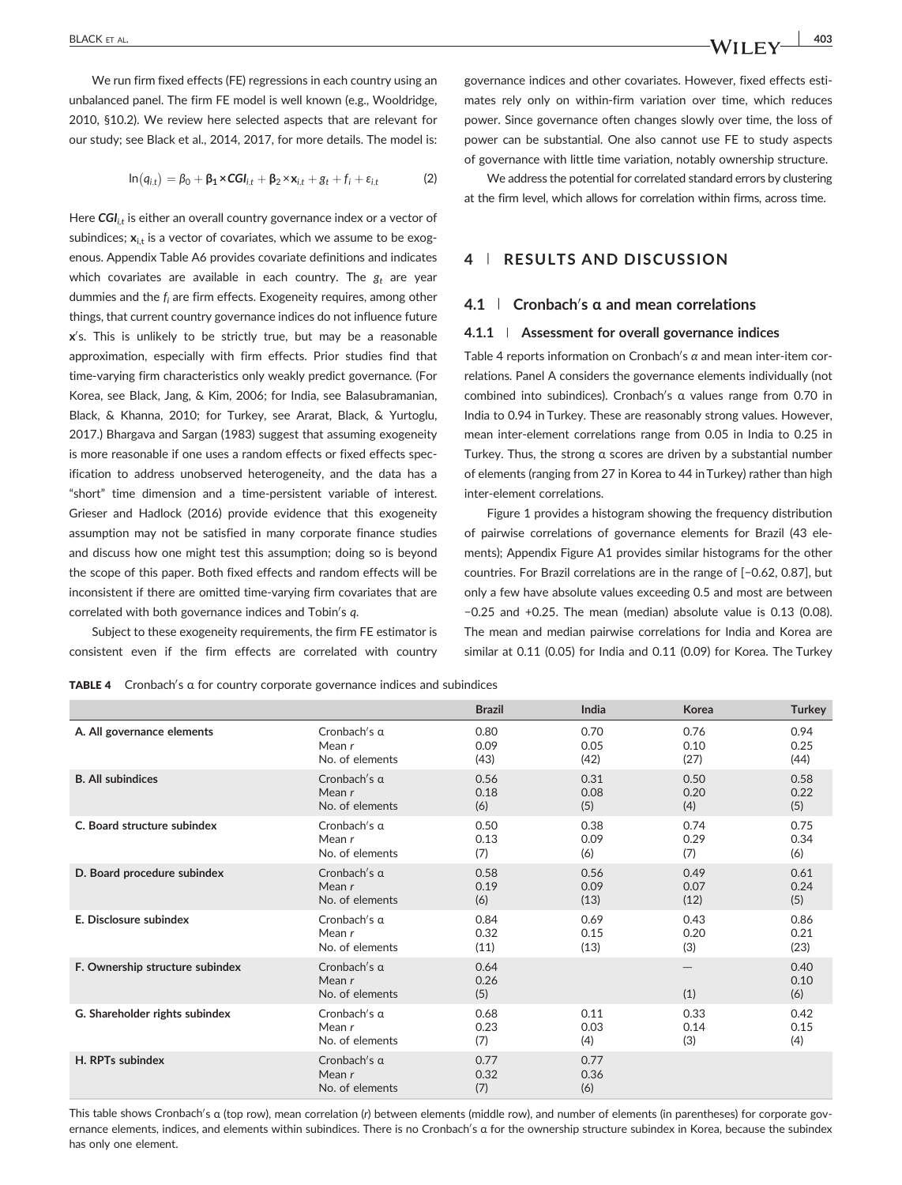We run firm fixed effects (FE) regressions in each country using an unbalanced panel. The firm FE model is well known (e.g., Wooldridge, 2010, §10.2). We review here selected aspects that are relevant for our study; see Black et al., 2014, 2017, for more details. The model is:

$$
\ln(q_{i,t}) = \beta_0 + \beta_1 \times \text{CGI}_{i,t} + \beta_2 \times \mathbf{x}_{i,t} + g_t + f_i + \varepsilon_{i,t}
$$
 (2)

Here  $CGI_{it}$  is either an overall country governance index or a vector of subindices;  $x_{i}$ , is a vector of covariates, which we assume to be exogenous. Appendix Table A6 provides covariate definitions and indicates which covariates are available in each country. The  $g_t$  are year dummies and the  $f_i$  are firm effects. Exogeneity requires, among other things, that current country governance indices do not influence future **x**'s. This is unlikely to be strictly true, but may be a reasonable approximation, especially with firm effects. Prior studies find that time‐varying firm characteristics only weakly predict governance. (For Korea, see Black, Jang, & Kim, 2006; for India, see Balasubramanian, Black, & Khanna, 2010; for Turkey, see Ararat, Black, & Yurtoglu, 2017.) Bhargava and Sargan (1983) suggest that assuming exogeneity is more reasonable if one uses a random effects or fixed effects specification to address unobserved heterogeneity, and the data has a "short" time dimension and a time‐persistent variable of interest. Grieser and Hadlock (2016) provide evidence that this exogeneity assumption may not be satisfied in many corporate finance studies and discuss how one might test this assumption; doing so is beyond the scope of this paper. Both fixed effects and random effects will be inconsistent if there are omitted time‐varying firm covariates that are correlated with both governance indices and Tobin's q.

Subject to these exogeneity requirements, the firm FE estimator is consistent even if the firm effects are correlated with country governance indices and other covariates. However, fixed effects estimates rely only on within-firm variation over time, which reduces power. Since governance often changes slowly over time, the loss of power can be substantial. One also cannot use FE to study aspects of governance with little time variation, notably ownership structure.

We address the potential for correlated standard errors by clustering at the firm level, which allows for correlation within firms, across time.

### 4 | RESULTS AND DISCUSSION

### $4.1$   $\parallel$  Cronbach's  $\alpha$  and mean correlations

### 4.1.1 | Assessment for overall governance indices

Table 4 reports information on Cronbach's  $\alpha$  and mean inter-item correlations. Panel A considers the governance elements individually (not combined into subindices). Cronbach's α values range from 0.70 in India to 0.94 in Turkey. These are reasonably strong values. However, mean inter‐element correlations range from 0.05 in India to 0.25 in Turkey. Thus, the strong α scores are driven by a substantial number of elements (ranging from 27 in Korea to 44 in Turkey) rather than high inter‐element correlations.

Figure 1 provides a histogram showing the frequency distribution of pairwise correlations of governance elements for Brazil (43 elements); Appendix Figure A1 provides similar histograms for the other countries. For Brazil correlations are in the range of [−0.62, 0.87], but only a few have absolute values exceeding 0.5 and most are between −0.25 and +0.25. The mean (median) absolute value is 0.13 (0.08). The mean and median pairwise correlations for India and Korea are similar at 0.11 (0.05) for India and 0.11 (0.09) for Korea. The Turkey

| TABLE 4 Cronbach's a for country corporate governance indices and subindices |
|------------------------------------------------------------------------------|
|                                                                              |

|                                 |                                                    | <b>Brazil</b>       | India               | Korea | <b>Turkey</b>       |
|---------------------------------|----------------------------------------------------|---------------------|---------------------|-------|---------------------|
| A. All governance elements      | Cronbach's $\alpha$                                | 0.80                | 0.70                | 0.76  | 0.94                |
|                                 | Mean $r$                                           | 0.09                | 0.05                | 0.10  | 0.25                |
|                                 | No. of elements                                    | (43)                | (42)                | (27)  | (44)                |
| <b>B.</b> All subindices        | Cronbach's $\alpha$                                | 0.56                | 0.31                | 0.50  | 0.58                |
|                                 | Mean $r$                                           | 0.18                | 0.08                | 0.20  | 0.22                |
|                                 | No. of elements                                    | (6)                 | (5)                 | (4)   | (5)                 |
| C. Board structure subindex     | Cronbach's $\alpha$                                | 0.50                | 0.38                | 0.74  | 0.75                |
|                                 | Mean $r$                                           | 0.13                | 0.09                | 0.29  | 0.34                |
|                                 | No. of elements                                    | (7)                 | (6)                 | (7)   | (6)                 |
| D. Board procedure subindex     | Cronbach's $\alpha$                                | 0.58                | 0.56                | 0.49  | 0.61                |
|                                 | Mean $r$                                           | 0.19                | 0.09                | 0.07  | 0.24                |
|                                 | No. of elements                                    | (6)                 | (13)                | (12)  | (5)                 |
| E. Disclosure subindex          | Cronbach's $\alpha$                                | 0.84                | 0.69                | 0.43  | 0.86                |
|                                 | Mean $r$                                           | 0.32                | 0.15                | 0.20  | 0.21                |
|                                 | No. of elements                                    | (11)                | (13)                | (3)   | (23)                |
| F. Ownership structure subindex | Cronbach's $\alpha$<br>Mean $r$<br>No. of elements | 0.64<br>0.26<br>(5) |                     | (1)   | 0.40<br>0.10<br>(6) |
| G. Shareholder rights subindex  | Cronbach's $\alpha$                                | 0.68                | 0.11                | 0.33  | 0.42                |
|                                 | Mean $r$                                           | 0.23                | 0.03                | 0.14  | 0.15                |
|                                 | No. of elements                                    | (7)                 | (4)                 | (3)   | (4)                 |
| H. RPTs subindex                | Cronbach's $\alpha$<br>Mean $r$<br>No. of elements | 0.77<br>0.32<br>(7) | 0.77<br>0.36<br>(6) |       |                     |

This table shows Cronbach's α (top row), mean correlation (r) between elements (middle row), and number of elements (in parentheses) for corporate governance elements, indices, and elements within subindices. There is no Cronbach's α for the ownership structure subindex in Korea, because the subindex has only one element.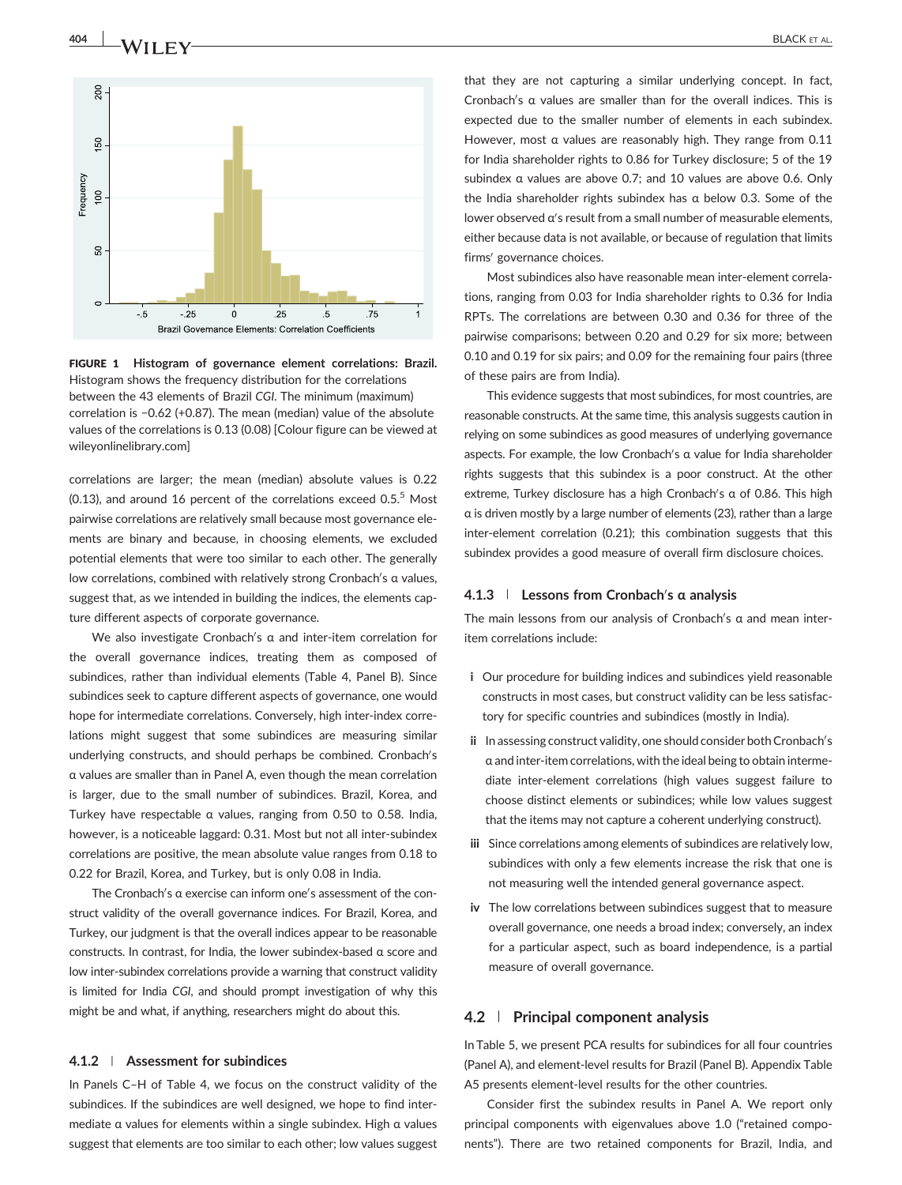**404 WA/II EV** BLACK ET AL.



FIGURE 1 Histogram of governance element correlations: Brazil. Histogram shows the frequency distribution for the correlations between the 43 elements of Brazil CGI. The minimum (maximum) correlation is −0.62 (+0.87). The mean (median) value of the absolute values of the correlations is 0.13 (0.08) [Colour figure can be viewed at [wileyonlinelibrary.com](http://wileyonlinelibrary.com)]

correlations are larger; the mean (median) absolute values is 0.22 (0.13), and around 16 percent of the correlations exceed  $0.5<sup>5</sup>$  Most pairwise correlations are relatively small because most governance elements are binary and because, in choosing elements, we excluded potential elements that were too similar to each other. The generally low correlations, combined with relatively strong Cronbach's α values, suggest that, as we intended in building the indices, the elements capture different aspects of corporate governance.

We also investigate Cronbach's  $\alpha$  and inter-item correlation for the overall governance indices, treating them as composed of subindices, rather than individual elements (Table 4, Panel B). Since subindices seek to capture different aspects of governance, one would hope for intermediate correlations. Conversely, high inter-index correlations might suggest that some subindices are measuring similar underlying constructs, and should perhaps be combined. Cronbach's α values are smaller than in Panel A, even though the mean correlation is larger, due to the small number of subindices. Brazil, Korea, and Turkey have respectable α values, ranging from 0.50 to 0.58. India, however, is a noticeable laggard: 0.31. Most but not all inter-subindex correlations are positive, the mean absolute value ranges from 0.18 to 0.22 for Brazil, Korea, and Turkey, but is only 0.08 in India.

The Cronbach's α exercise can inform one's assessment of the construct validity of the overall governance indices. For Brazil, Korea, and Turkey, our judgment is that the overall indices appear to be reasonable constructs. In contrast, for India, the lower subindex‐based α score and low inter-subindex correlations provide a warning that construct validity is limited for India CGI, and should prompt investigation of why this might be and what, if anything, researchers might do about this.

#### 4.1.2 | Assessment for subindices

In Panels C–H of Table 4, we focus on the construct validity of the subindices. If the subindices are well designed, we hope to find intermediate α values for elements within a single subindex. High α values suggest that elements are too similar to each other; low values suggest

that they are not capturing a similar underlying concept. In fact,  $C$ ronbach's  $\alpha$  values are smaller than for the overall indices. This is expected due to the smaller number of elements in each subindex. However, most α values are reasonably high. They range from 0.11 for India shareholder rights to 0.86 for Turkey disclosure; 5 of the 19 subindex α values are above 0.7; and 10 values are above 0.6. Only the India shareholder rights subindex has α below 0.3. Some of the lower observed  $\alpha'$ s result from a small number of measurable elements, either because data is not available, or because of regulation that limits firms' governance choices.

Most subindices also have reasonable mean inter‐element correlations, ranging from 0.03 for India shareholder rights to 0.36 for India RPTs. The correlations are between 0.30 and 0.36 for three of the pairwise comparisons; between 0.20 and 0.29 for six more; between 0.10 and 0.19 for six pairs; and 0.09 for the remaining four pairs (three of these pairs are from India).

This evidence suggests that most subindices, for most countries, are reasonable constructs. At the same time, this analysis suggests caution in relying on some subindices as good measures of underlying governance aspects. For example, the low Cronbach's  $\alpha$  value for India shareholder rights suggests that this subindex is a poor construct. At the other extreme, Turkey disclosure has a high Cronbach's α of 0.86. This high α is driven mostly by a large number of elements (23), rather than a large inter-element correlation (0.21); this combination suggests that this subindex provides a good measure of overall firm disclosure choices.

#### $4.1.3$   $\perp$  Lessons from Cronbach's  $\alpha$  analysis

The main lessons from our analysis of Cronbach's α and mean interitem correlations include:

- i Our procedure for building indices and subindices yield reasonable constructs in most cases, but construct validity can be less satisfactory for specific countries and subindices (mostly in India).
- ii In assessing construct validity, one should consider both Cronbach's α and inter‐item correlations, with the ideal being to obtain intermediate inter‐element correlations (high values suggest failure to choose distinct elements or subindices; while low values suggest that the items may not capture a coherent underlying construct).
- iii Since correlations among elements of subindices are relatively low, subindices with only a few elements increase the risk that one is not measuring well the intended general governance aspect.
- iv The low correlations between subindices suggest that to measure overall governance, one needs a broad index; conversely, an index for a particular aspect, such as board independence, is a partial measure of overall governance.

### 4.2 | Principal component analysis

In Table 5, we present PCA results for subindices for all four countries (Panel A), and element‐level results for Brazil (Panel B). Appendix Table A5 presents element‐level results for the other countries.

Consider first the subindex results in Panel A. We report only principal components with eigenvalues above 1.0 ("retained components"). There are two retained components for Brazil, India, and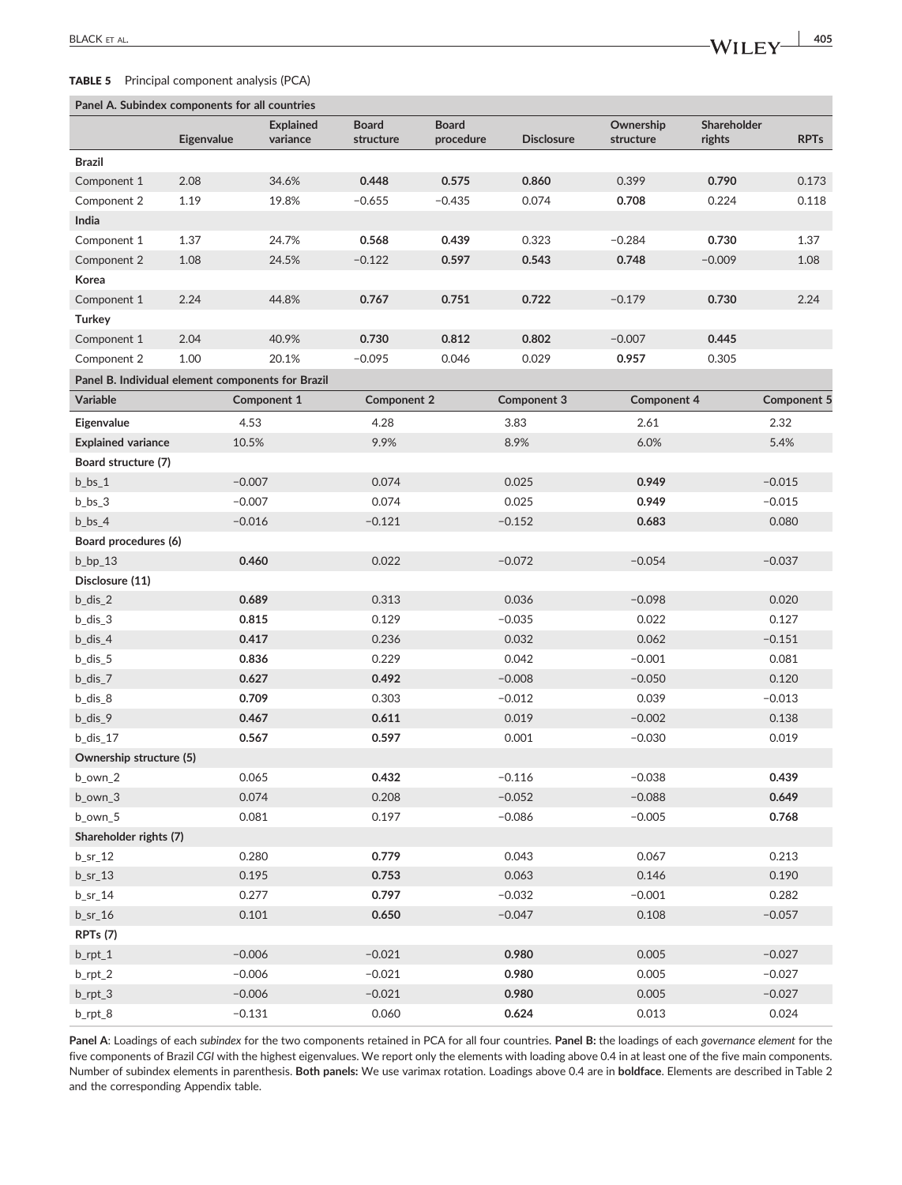### TABLE 5 Principal component analysis (PCA)

|                           | Panel A. Subindex components for all countries    |                              |                           |                           |                    |                        |                       |                      |  |  |
|---------------------------|---------------------------------------------------|------------------------------|---------------------------|---------------------------|--------------------|------------------------|-----------------------|----------------------|--|--|
|                           | Eigenvalue                                        | <b>Explained</b><br>variance | <b>Board</b><br>structure | <b>Board</b><br>procedure | <b>Disclosure</b>  | Ownership<br>structure | Shareholder<br>rights | <b>RPTs</b>          |  |  |
| <b>Brazil</b>             |                                                   |                              |                           |                           |                    |                        |                       |                      |  |  |
| Component 1               | 2.08                                              | 34.6%                        | 0.448                     | 0.575                     | 0.860              | 0.399                  | 0.790                 | 0.173                |  |  |
| Component 2               | 1.19                                              | 19.8%                        | $-0.655$                  | $-0.435$                  | 0.074              | 0.708                  | 0.224                 | 0.118                |  |  |
| India                     |                                                   |                              |                           |                           |                    |                        |                       |                      |  |  |
| Component 1               | 1.37                                              | 24.7%                        | 0.568                     | 0.439                     | 0.323              | $-0.284$               | 0.730                 | 1.37                 |  |  |
| Component 2               | 1.08                                              | 24.5%                        | $-0.122$                  | 0.597                     | 0.543              | 0.748                  | $-0.009$              | 1.08                 |  |  |
| Korea                     |                                                   |                              |                           |                           |                    |                        |                       |                      |  |  |
| Component 1               | 2.24                                              | 44.8%                        | 0.767                     | 0.751                     | 0.722              | $-0.179$               | 0.730                 | 2.24                 |  |  |
| Turkey                    |                                                   |                              |                           |                           |                    |                        |                       |                      |  |  |
| Component 1               | 2.04                                              | 40.9%                        | 0.730                     | 0.812                     | 0.802              | $-0.007$               | 0.445                 |                      |  |  |
| Component 2               | 1.00                                              | 20.1%                        | $-0.095$                  | 0.046                     | 0.029              | 0.957                  | 0.305                 |                      |  |  |
|                           | Panel B. Individual element components for Brazil |                              |                           |                           |                    |                        |                       |                      |  |  |
| <b>Variable</b>           |                                                   | Component 1                  | Component 2               |                           | <b>Component 3</b> | Component 4            |                       | Component 5          |  |  |
| Eigenvalue                |                                                   | 4.53                         | 4.28                      |                           | 3.83               | 2.61                   |                       | 2.32                 |  |  |
| <b>Explained variance</b> | 10.5%                                             |                              | 9.9%                      |                           | 8.9%               | 6.0%                   |                       | 5.4%                 |  |  |
| Board structure (7)       |                                                   |                              |                           |                           |                    |                        |                       |                      |  |  |
| $b_bs_1$                  |                                                   | $-0.007$                     | 0.074                     |                           | 0.025              | 0.949                  |                       | $-0.015$             |  |  |
| $b_bs_3$                  |                                                   | $-0.007$                     | 0.074                     |                           | 0.025              | 0.949                  |                       | $-0.015$             |  |  |
| $b_bs_4$                  |                                                   | $-0.016$                     | $-0.121$                  |                           | $-0.152$           | 0.683                  |                       | 0.080                |  |  |
| Board procedures (6)      |                                                   |                              |                           |                           |                    |                        |                       |                      |  |  |
| $b$ _ $bp$ _ $13$         |                                                   | 0.460                        | 0.022                     |                           | $-0.072$           | $-0.054$               |                       | $-0.037$             |  |  |
| Disclosure (11)           |                                                   |                              |                           |                           |                    |                        |                       |                      |  |  |
| $b$ _dis_2                |                                                   | 0.689                        | 0.313                     |                           | 0.036              | $-0.098$               |                       | 0.020                |  |  |
| $b$ _dis_3                |                                                   | 0.815                        | 0.129                     |                           | $-0.035$           | 0.022                  |                       | 0.127                |  |  |
| $b$ _dis_4                |                                                   | 0.417                        | 0.236                     |                           | 0.032              | 0.062                  |                       | $-0.151$             |  |  |
| $b\_dis_5$                |                                                   | 0.836                        | 0.229                     |                           | 0.042              | $-0.001$               |                       | 0.081                |  |  |
| $b$ _dis_7                |                                                   | 0.627                        | 0.492                     |                           | $-0.008$           | $-0.050$               |                       | 0.120                |  |  |
| $b$ _dis_8                |                                                   | 0.709                        | 0.303                     |                           | $-0.012$           | 0.039                  |                       | $-0.013$             |  |  |
| $b$ _dis_9                |                                                   | 0.467                        | 0.611                     |                           | 0.019              | $-0.002$               |                       | 0.138                |  |  |
| $b$ _dis_17               |                                                   | 0.567                        | 0.597                     |                           | 0.001              | $-0.030$               |                       | 0.019                |  |  |
| Ownership structure (5)   |                                                   |                              |                           |                           |                    |                        |                       |                      |  |  |
| $b_{own_2}$               |                                                   | 0.065                        | 0.432                     |                           | $-0.116$           | $-0.038$               |                       | 0.439                |  |  |
| $b_{own_3}$               |                                                   | 0.074                        | 0.208                     |                           | $-0.052$           | $-0.088$               |                       | 0.649                |  |  |
| b_own_5                   |                                                   | 0.081                        | 0.197                     |                           | $-0.086$           | $-0.005$               |                       | 0.768                |  |  |
| Shareholder rights (7)    |                                                   |                              |                           |                           |                    |                        |                       |                      |  |  |
| $b$ _sr_12                |                                                   | 0.280                        | 0.779                     |                           | 0.043              | 0.067                  |                       | 0.213                |  |  |
| $b$ _sr_13                |                                                   | 0.195                        | 0.753                     |                           | 0.063              | 0.146                  |                       | 0.190                |  |  |
| $b$ _sr_14                |                                                   | 0.277                        | 0.797                     |                           | $-0.032$           | $-0.001$               |                       | 0.282                |  |  |
| $b$ _sr_16                |                                                   | 0.101                        | 0.650                     |                           | $-0.047$           | 0.108                  |                       | $-0.057$             |  |  |
| <b>RPTs (7)</b>           |                                                   |                              |                           |                           |                    |                        |                       |                      |  |  |
| $b_rpt_1$                 |                                                   | $-0.006$<br>$-0.006$         | $-0.021$<br>$-0.021$      |                           | 0.980<br>0.980     | 0.005<br>0.005         |                       | $-0.027$<br>$-0.027$ |  |  |
| $b_rpt_2$                 |                                                   |                              |                           |                           |                    |                        |                       |                      |  |  |
| $b_rpt_3$                 |                                                   | $-0.006$                     | $-0.021$                  |                           | 0.980              | 0.005                  |                       | $-0.027$             |  |  |
| $b_rpt_8$                 |                                                   | $-0.131$                     | 0.060                     |                           | 0.624              | 0.013                  |                       | 0.024                |  |  |

Panel A: Loadings of each subindex for the two components retained in PCA for all four countries. Panel B: the loadings of each governance element for the five components of Brazil CGI with the highest eigenvalues. We report only the elements with loading above 0.4 in at least one of the five main components. Number of subindex elements in parenthesis. Both panels: We use varimax rotation. Loadings above 0.4 are in boldface. Elements are described in Table 2 and the corresponding Appendix table.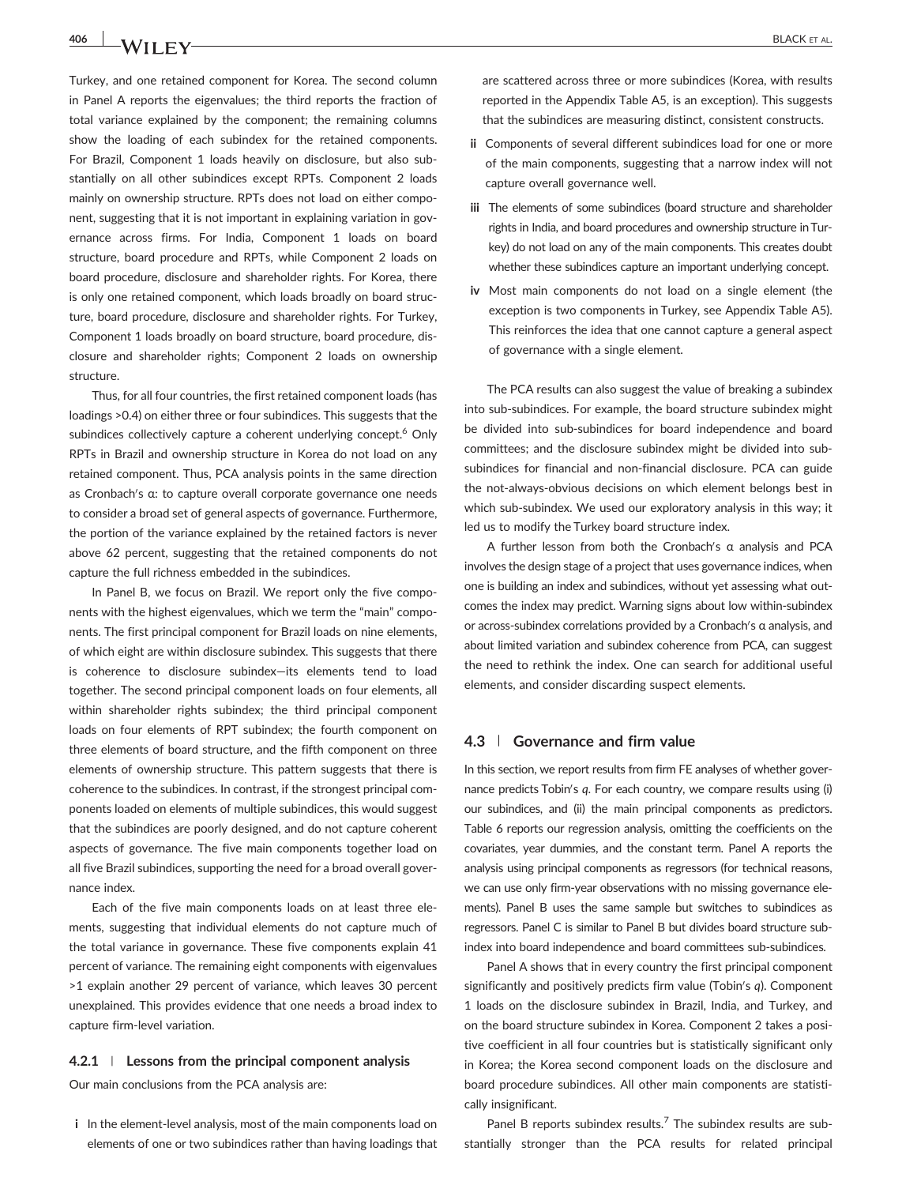406 NAZILENZ

Turkey, and one retained component for Korea. The second column in Panel A reports the eigenvalues; the third reports the fraction of total variance explained by the component; the remaining columns show the loading of each subindex for the retained components. For Brazil, Component 1 loads heavily on disclosure, but also substantially on all other subindices except RPTs. Component 2 loads mainly on ownership structure. RPTs does not load on either component, suggesting that it is not important in explaining variation in governance across firms. For India, Component 1 loads on board structure, board procedure and RPTs, while Component 2 loads on board procedure, disclosure and shareholder rights. For Korea, there is only one retained component, which loads broadly on board structure, board procedure, disclosure and shareholder rights. For Turkey, Component 1 loads broadly on board structure, board procedure, disclosure and shareholder rights; Component 2 loads on ownership structure.

Thus, for all four countries, the first retained component loads (has loadings >0.4) on either three or four subindices. This suggests that the subindices collectively capture a coherent underlying concept.<sup>6</sup> Only RPTs in Brazil and ownership structure in Korea do not load on any retained component. Thus, PCA analysis points in the same direction as Cronbach's α: to capture overall corporate governance one needs to consider a broad set of general aspects of governance. Furthermore, the portion of the variance explained by the retained factors is never above 62 percent, suggesting that the retained components do not capture the full richness embedded in the subindices.

In Panel B, we focus on Brazil. We report only the five components with the highest eigenvalues, which we term the "main" components. The first principal component for Brazil loads on nine elements, of which eight are within disclosure subindex. This suggests that there is coherence to disclosure subindex—its elements tend to load together. The second principal component loads on four elements, all within shareholder rights subindex; the third principal component loads on four elements of RPT subindex; the fourth component on three elements of board structure, and the fifth component on three elements of ownership structure. This pattern suggests that there is coherence to the subindices. In contrast, if the strongest principal components loaded on elements of multiple subindices, this would suggest that the subindices are poorly designed, and do not capture coherent aspects of governance. The five main components together load on all five Brazil subindices, supporting the need for a broad overall governance index.

Each of the five main components loads on at least three elements, suggesting that individual elements do not capture much of the total variance in governance. These five components explain 41 percent of variance. The remaining eight components with eigenvalues >1 explain another 29 percent of variance, which leaves 30 percent unexplained. This provides evidence that one needs a broad index to capture firm‐level variation.

# 4.2.1 | Lessons from the principal component analysis

Our main conclusions from the PCA analysis are:

i In the element-level analysis, most of the main components load on elements of one or two subindices rather than having loadings that are scattered across three or more subindices (Korea, with results reported in the Appendix Table A5, is an exception). This suggests that the subindices are measuring distinct, consistent constructs.

- ii Components of several different subindices load for one or more of the main components, suggesting that a narrow index will not capture overall governance well.
- iii The elements of some subindices (board structure and shareholder rights in India, and board procedures and ownership structure in Turkey) do not load on any of the main components. This creates doubt whether these subindices capture an important underlying concept.
- iv Most main components do not load on a single element (the exception is two components in Turkey, see Appendix Table A5). This reinforces the idea that one cannot capture a general aspect of governance with a single element.

The PCA results can also suggest the value of breaking a subindex into sub‐subindices. For example, the board structure subindex might be divided into sub‐subindices for board independence and board committees; and the disclosure subindex might be divided into sub‐ subindices for financial and non-financial disclosure. PCA can guide the not‐always‐obvious decisions on which element belongs best in which sub-subindex. We used our exploratory analysis in this way; it led us to modify the Turkey board structure index.

A further lesson from both the Cronbach's α analysis and PCA involves the design stage of a project that uses governance indices, when one is building an index and subindices, without yet assessing what outcomes the index may predict. Warning signs about low within‐subindex or across-subindex correlations provided by a Cronbach's α analysis, and about limited variation and subindex coherence from PCA, can suggest the need to rethink the index. One can search for additional useful elements, and consider discarding suspect elements.

### 4.3 | Governance and firm value

In this section, we report results from firm FE analyses of whether governance predicts Tobin's q. For each country, we compare results using (i) our subindices, and (ii) the main principal components as predictors. Table 6 reports our regression analysis, omitting the coefficients on the covariates, year dummies, and the constant term. Panel A reports the analysis using principal components as regressors (for technical reasons, we can use only firm‐year observations with no missing governance elements). Panel B uses the same sample but switches to subindices as regressors. Panel C is similar to Panel B but divides board structure subindex into board independence and board committees sub‐subindices.

Panel A shows that in every country the first principal component significantly and positively predicts firm value (Tobin's q). Component 1 loads on the disclosure subindex in Brazil, India, and Turkey, and on the board structure subindex in Korea. Component 2 takes a positive coefficient in all four countries but is statistically significant only in Korea; the Korea second component loads on the disclosure and board procedure subindices. All other main components are statistically insignificant.

Panel B reports subindex results.<sup>7</sup> The subindex results are substantially stronger than the PCA results for related principal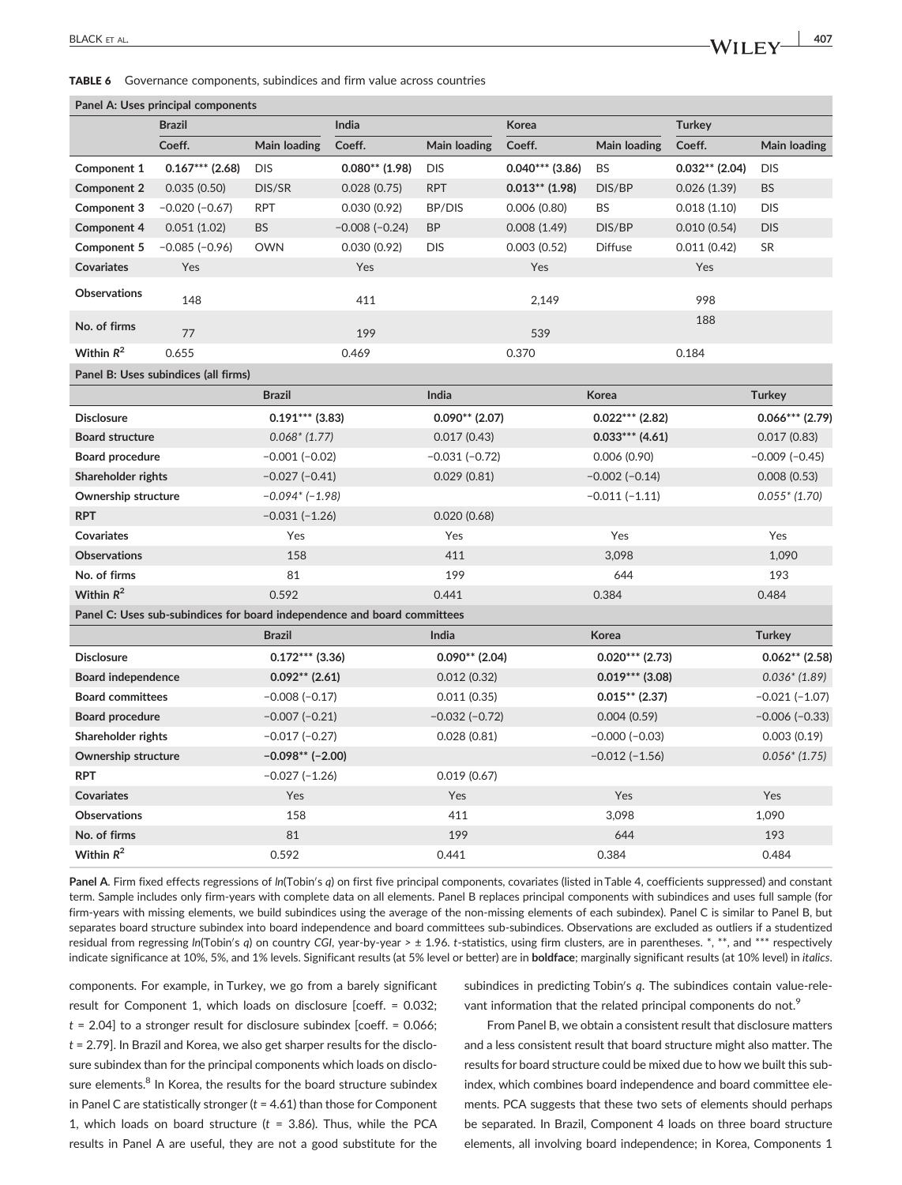TABLE 6 Governance components, subindices and firm value across countries

| Panel A: Uses principal components |                                                                          |                               |                  |                  |                   |                   |                  |                      |  |
|------------------------------------|--------------------------------------------------------------------------|-------------------------------|------------------|------------------|-------------------|-------------------|------------------|----------------------|--|
|                                    | <b>Brazil</b>                                                            |                               | India            |                  | <b>Korea</b>      |                   | <b>Turkey</b>    |                      |  |
|                                    | Coeff.                                                                   | Main loading                  | Coeff.           | Main loading     | Coeff.            | Main loading      | Coeff.           | Main loading         |  |
| Component 1                        | $0.167***$ (2.68)                                                        | <b>DIS</b>                    | $0.080**$ (1.98) | <b>DIS</b>       | $0.040***$ (3.86) | <b>BS</b>         | $0.032**$ (2.04) | <b>DIS</b>           |  |
| Component 2                        | 0.035(0.50)                                                              | DIS/SR                        | 0.028(0.75)      | <b>RPT</b>       | $0.013**$ (1.98)  | DIS/BP            | 0.026(1.39)      | <b>BS</b>            |  |
| Component 3                        | $-0.020(-0.67)$                                                          | <b>RPT</b>                    | 0.030(0.92)      | BP/DIS           | 0.006(0.80)       | <b>BS</b>         | 0.018(1.10)      | <b>DIS</b>           |  |
| Component 4                        | 0.051(1.02)                                                              | <b>BS</b>                     | $-0.008(-0.24)$  | <b>BP</b>        | 0.008(1.49)       | DIS/BP            | 0.010(0.54)      | <b>DIS</b>           |  |
| Component 5                        | $-0.085(-0.96)$                                                          | <b>OWN</b>                    | 0.030(0.92)      | <b>DIS</b>       | 0.003(0.52)       | <b>Diffuse</b>    | 0.011(0.42)      | <b>SR</b>            |  |
| <b>Covariates</b>                  | Yes                                                                      |                               | Yes              |                  | Yes               |                   | Yes              |                      |  |
| <b>Observations</b>                | 148                                                                      |                               | 411              |                  | 2,149             |                   | 998              |                      |  |
| No. of firms                       | 77                                                                       |                               | 199              |                  | 539               |                   | 188              |                      |  |
| Within $R^2$                       | 0.655                                                                    |                               | 0.469            |                  | 0.370             |                   | 0.184            |                      |  |
|                                    | Panel B: Uses subindices (all firms)                                     |                               |                  |                  |                   |                   |                  |                      |  |
|                                    |                                                                          | <b>Brazil</b>                 |                  | India            |                   | <b>Korea</b>      |                  | <b>Turkey</b>        |  |
| <b>Disclosure</b>                  |                                                                          | $0.191***$ (3.83)             |                  | $0.090**$ (2.07) |                   | $0.022***$ (2.82) |                  | $0.066***$ (2.79)    |  |
| <b>Board structure</b>             |                                                                          | $0.068*(1.77)$                |                  | 0.017(0.43)      |                   | $0.033***$ (4.61) |                  | 0.017(0.83)          |  |
| Board procedure                    |                                                                          | $-0.001(-0.02)$               |                  | $-0.031(-0.72)$  |                   | 0.006(0.90)       |                  | $-0.009$ ( $-0.45$ ) |  |
| Shareholder rights                 |                                                                          | $-0.027$ $(-0.41)$            |                  | 0.029(0.81)      |                   | $-0.002(-0.14)$   |                  | 0.008(0.53)          |  |
| Ownership structure                |                                                                          | $-0.094$ <sup>*</sup> (-1.98) |                  |                  |                   | $-0.011(-1.11)$   |                  | $0.055*$ (1.70)      |  |
| <b>RPT</b>                         |                                                                          | $-0.031(-1.26)$               |                  | 0.020(0.68)      |                   |                   |                  |                      |  |
| <b>Covariates</b>                  |                                                                          | Yes                           |                  | Yes              |                   | Yes               |                  | Yes                  |  |
| <b>Observations</b>                |                                                                          | 158                           |                  | 411              |                   | 3,098             |                  | 1,090                |  |
| No. of firms                       |                                                                          | 81                            |                  | 199              |                   | 644               |                  | 193                  |  |
| Within $R^2$                       |                                                                          | 0.592                         |                  | 0.441            |                   | 0.384             |                  | 0.484                |  |
|                                    | Panel C: Uses sub-subindices for board independence and board committees |                               |                  |                  |                   |                   |                  |                      |  |
|                                    |                                                                          | <b>Brazil</b>                 |                  | India            |                   | Korea             |                  | <b>Turkey</b>        |  |
| <b>Disclosure</b>                  |                                                                          | $0.172***$ (3.36)             |                  | $0.090**$ (2.04) |                   | $0.020***$ (2.73) |                  | $0.062**$ (2.58)     |  |
| <b>Board independence</b>          |                                                                          | $0.092**$ (2.61)              |                  | 0.012(0.32)      |                   | $0.019***$ (3.08) |                  | $0.036*$ (1.89)      |  |
| <b>Board committees</b>            |                                                                          | $-0.008(-0.17)$               |                  | 0.011(0.35)      |                   | $0.015**$ (2.37)  |                  | $-0.021(-1.07)$      |  |
| <b>Board procedure</b>             |                                                                          | $-0.007(-0.21)$               |                  | $-0.032(-0.72)$  |                   | 0.004(0.59)       |                  | $-0.006(-0.33)$      |  |
| Shareholder rights                 |                                                                          | $-0.017(-0.27)$               |                  | 0.028(0.81)      |                   | $-0.000(-0.03)$   |                  | 0.003(0.19)          |  |
| Ownership structure                |                                                                          | $-0.098**$ (-2.00)            |                  |                  |                   | $-0.012(-1.56)$   |                  | $0.056*(1.75)$       |  |
| <b>RPT</b>                         |                                                                          | $-0.027(-1.26)$               |                  | 0.019(0.67)      |                   |                   |                  |                      |  |
| Covariates                         |                                                                          | Yes                           |                  | Yes              |                   | Yes               |                  | Yes                  |  |
| <b>Observations</b>                |                                                                          | 158                           |                  | 411              |                   | 3,098             |                  | 1,090                |  |
| No. of firms                       |                                                                          | 81                            |                  | 199              |                   | 644               |                  | 193                  |  |
| Within $R^2$                       |                                                                          | 0.592                         |                  | 0.441            |                   | 0.384             |                  | 0.484                |  |

Panel A. Firm fixed effects regressions of In(Tobin's q) on first five principal components, covariates (listed in Table 4, coefficients suppressed) and constant term. Sample includes only firm‐years with complete data on all elements. Panel B replaces principal components with subindices and uses full sample (for firm-years with missing elements, we build subindices using the average of the non-missing elements of each subindex). Panel C is similar to Panel B, but separates board structure subindex into board independence and board committees sub-subindices. Observations are excluded as outliers if a studentized residual from regressing In(Tobin's q) on country CGI, year-by-year > ± 1.96. t-statistics, using firm clusters, are in parentheses. \*, \*\*, and \*\*\* respectively indicate significance at 10%, 5%, and 1% levels. Significant results (at 5% level or better) are in boldface; marginally significant results (at 10% level) in italics.

components. For example, in Turkey, we go from a barely significant result for Component 1, which loads on disclosure [coeff. = 0.032;  $t = 2.04$ ] to a stronger result for disclosure subindex [coeff. = 0.066; t = 2.79]. In Brazil and Korea, we also get sharper results for the disclosure subindex than for the principal components which loads on disclosure elements.<sup>8</sup> In Korea, the results for the board structure subindex in Panel C are statistically stronger ( $t = 4.61$ ) than those for Component 1, which loads on board structure ( $t = 3.86$ ). Thus, while the PCA results in Panel A are useful, they are not a good substitute for the

subindices in predicting Tobin's q. The subindices contain value-relevant information that the related principal components do not.<sup>9</sup>

From Panel B, we obtain a consistent result that disclosure matters and a less consistent result that board structure might also matter. The results for board structure could be mixed due to how we built this subindex, which combines board independence and board committee elements. PCA suggests that these two sets of elements should perhaps be separated. In Brazil, Component 4 loads on three board structure elements, all involving board independence; in Korea, Components 1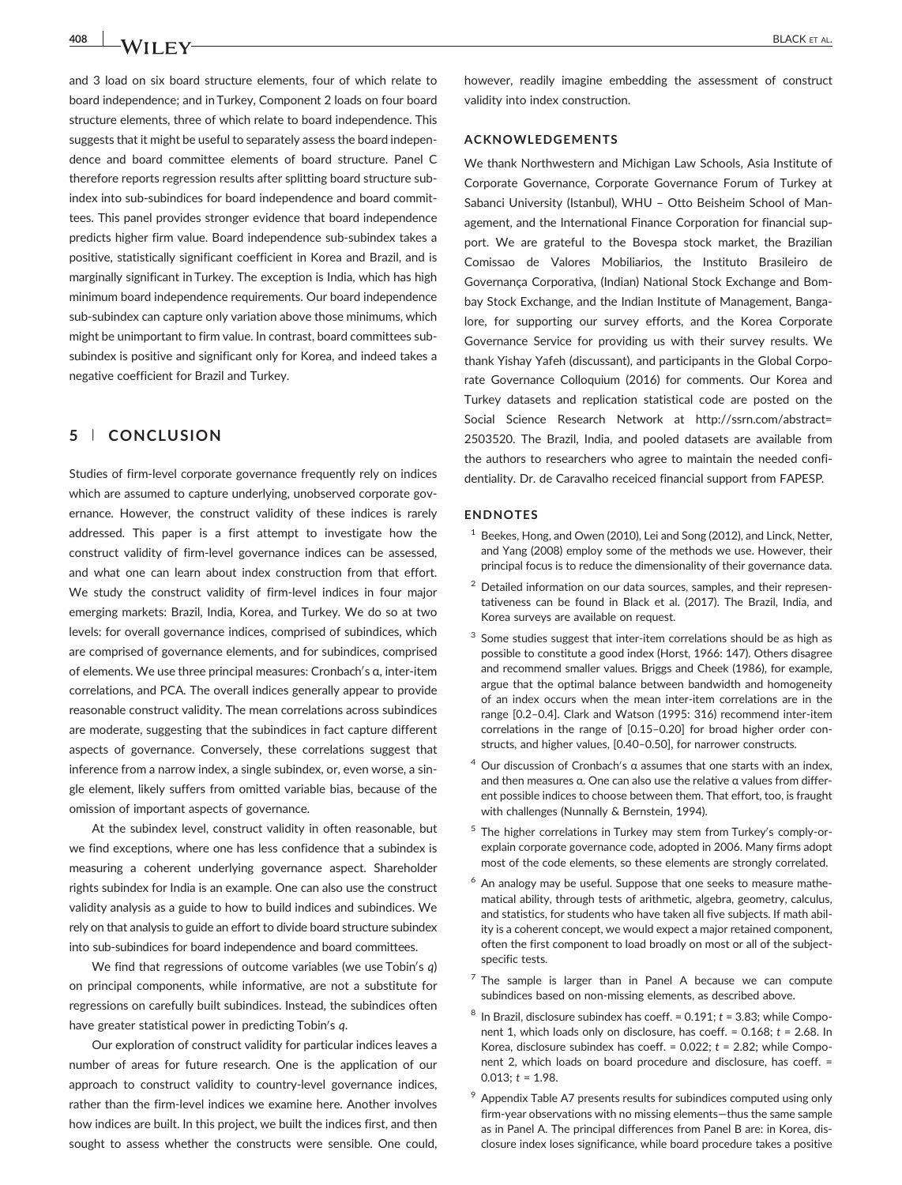and 3 load on six board structure elements, four of which relate to board independence; and in Turkey, Component 2 loads on four board structure elements, three of which relate to board independence. This suggests that it might be useful to separately assess the board independence and board committee elements of board structure. Panel C therefore reports regression results after splitting board structure subindex into sub-subindices for board independence and board committees. This panel provides stronger evidence that board independence predicts higher firm value. Board independence sub‐subindex takes a positive, statistically significant coefficient in Korea and Brazil, and is marginally significant in Turkey. The exception is India, which has high minimum board independence requirements. Our board independence sub-subindex can capture only variation above those minimums, which might be unimportant to firm value. In contrast, board committees sub‐ subindex is positive and significant only for Korea, and indeed takes a negative coefficient for Brazil and Turkey.

### 5 | CONCLUSION

Studies of firm‐level corporate governance frequently rely on indices which are assumed to capture underlying, unobserved corporate governance. However, the construct validity of these indices is rarely addressed. This paper is a first attempt to investigate how the construct validity of firm‐level governance indices can be assessed, and what one can learn about index construction from that effort. We study the construct validity of firm-level indices in four major emerging markets: Brazil, India, Korea, and Turkey. We do so at two levels: for overall governance indices, comprised of subindices, which are comprised of governance elements, and for subindices, comprised of elements. We use three principal measures: Cronbach's α, inter-item correlations, and PCA. The overall indices generally appear to provide reasonable construct validity. The mean correlations across subindices are moderate, suggesting that the subindices in fact capture different aspects of governance. Conversely, these correlations suggest that inference from a narrow index, a single subindex, or, even worse, a single element, likely suffers from omitted variable bias, because of the omission of important aspects of governance.

At the subindex level, construct validity in often reasonable, but we find exceptions, where one has less confidence that a subindex is measuring a coherent underlying governance aspect. Shareholder rights subindex for India is an example. One can also use the construct validity analysis as a guide to how to build indices and subindices. We rely on that analysis to guide an effort to divide board structure subindex into sub‐subindices for board independence and board committees.

We find that regressions of outcome variables (we use Tobin's  $q$ ) on principal components, while informative, are not a substitute for regressions on carefully built subindices. Instead, the subindices often have greater statistical power in predicting Tobin's q.

Our exploration of construct validity for particular indices leaves a number of areas for future research. One is the application of our approach to construct validity to country‐level governance indices, rather than the firm‐level indices we examine here. Another involves how indices are built. In this project, we built the indices first, and then sought to assess whether the constructs were sensible. One could, however, readily imagine embedding the assessment of construct validity into index construction.

#### ACKNOWLEDGEMENTS

We thank Northwestern and Michigan Law Schools, Asia Institute of Corporate Governance, Corporate Governance Forum of Turkey at Sabanci University (Istanbul), WHU – Otto Beisheim School of Management, and the International Finance Corporation for financial support. We are grateful to the Bovespa stock market, the Brazilian Comissao de Valores Mobiliarios, the Instituto Brasileiro de Governança Corporativa, (Indian) National Stock Exchange and Bombay Stock Exchange, and the Indian Institute of Management, Bangalore, for supporting our survey efforts, and the Korea Corporate Governance Service for providing us with their survey results. We thank Yishay Yafeh (discussant), and participants in the Global Corporate Governance Colloquium (2016) for comments. Our Korea and Turkey datasets and replication statistical code are posted on the Social Science Research Network at [http://ssrn.com/abstract=](http://ssrn.com/abstract=2503520) [2503520.](http://ssrn.com/abstract=2503520) The Brazil, India, and pooled datasets are available from the authors to researchers who agree to maintain the needed confidentiality. Dr. de Caravalho receiced financial support from FAPESP.

#### ENDNOTES

- <sup>1</sup> Beekes, Hong, and Owen (2010), Lei and Song (2012), and Linck, Netter, and Yang (2008) employ some of the methods we use. However, their principal focus is to reduce the dimensionality of their governance data.
- <sup>2</sup> Detailed information on our data sources, samples, and their representativeness can be found in Black et al. (2017). The Brazil, India, and Korea surveys are available on request.
- $3$  Some studies suggest that inter-item correlations should be as high as possible to constitute a good index (Horst, 1966: 147). Others disagree and recommend smaller values. Briggs and Cheek (1986), for example, argue that the optimal balance between bandwidth and homogeneity of an index occurs when the mean inter‐item correlations are in the range [0.2–0.4]. Clark and Watson (1995: 316) recommend inter‐item correlations in the range of [0.15–0.20] for broad higher order constructs, and higher values, [0.40–0.50], for narrower constructs.
- $4$  Our discussion of Cronbach's  $\alpha$  assumes that one starts with an index, and then measures α. One can also use the relative α values from different possible indices to choose between them. That effort, too, is fraught with challenges (Nunnally & Bernstein, 1994).
- $5$  The higher correlations in Turkey may stem from Turkey's comply-orexplain corporate governance code, adopted in 2006. Many firms adopt most of the code elements, so these elements are strongly correlated.
- $6$  An analogy may be useful. Suppose that one seeks to measure mathematical ability, through tests of arithmetic, algebra, geometry, calculus, and statistics, for students who have taken all five subjects. If math ability is a coherent concept, we would expect a major retained component, often the first component to load broadly on most or all of the subjectspecific tests.
- $7$  The sample is larger than in Panel A because we can compute subindices based on non‐missing elements, as described above.
- $8$  In Brazil, disclosure subindex has coeff. = 0.191;  $t = 3.83$ ; while Component 1, which loads only on disclosure, has coeff.  $= 0.168$ ;  $t = 2.68$ . In Korea, disclosure subindex has coeff. =  $0.022$ ;  $t = 2.82$ ; while Component 2, which loads on board procedure and disclosure, has coeff. =  $0.013$ ;  $t = 1.98$ .
- $9$  Appendix Table A7 presents results for subindices computed using only firm-year observations with no missing elements—thus the same sample as in Panel A. The principal differences from Panel B are: in Korea, disclosure index loses significance, while board procedure takes a positive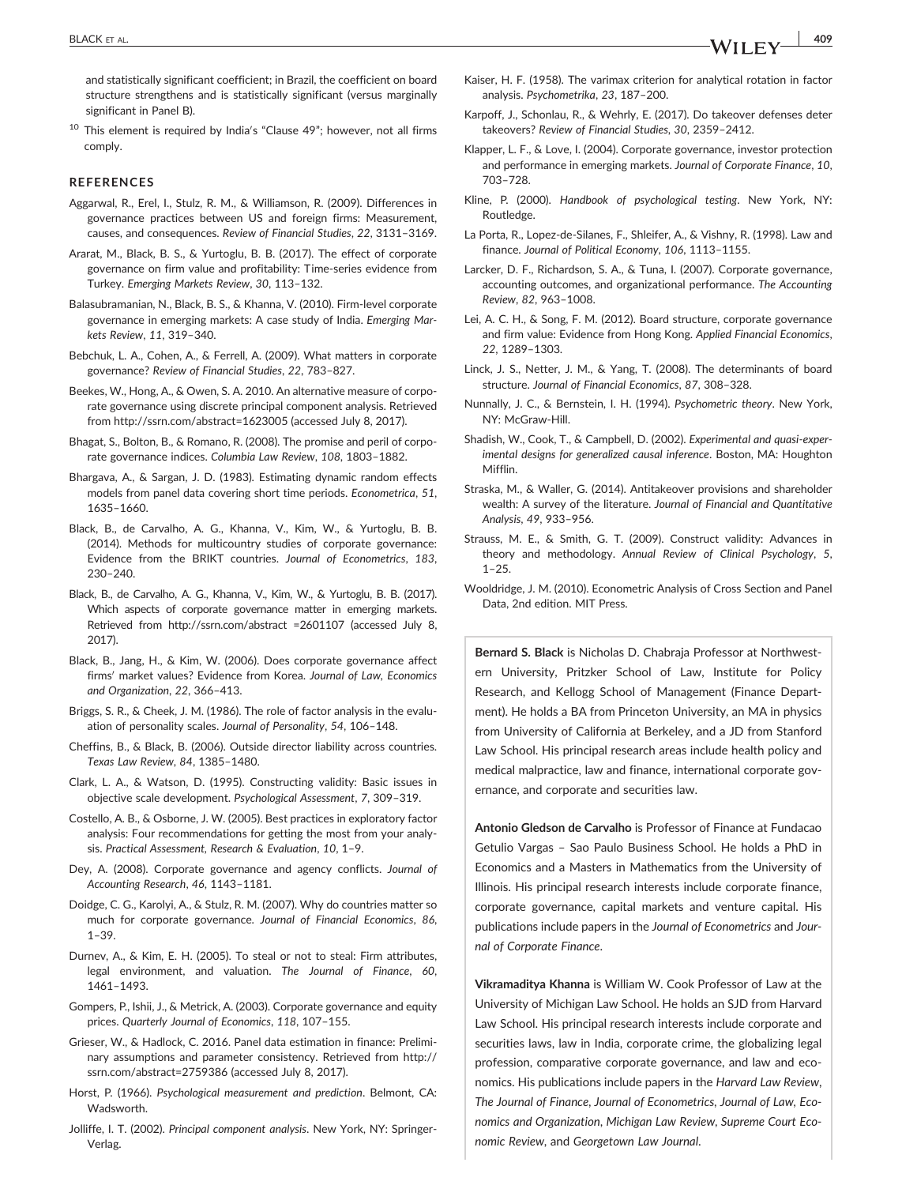and statistically significant coefficient; in Brazil, the coefficient on board structure strengthens and is statistically significant (versus marginally significant in Panel B).

 $10$  This element is required by India's "Clause 49"; however, not all firms comply.

### **REFERENCES**

- Aggarwal, R., Erel, I., Stulz, R. M., & Williamson, R. (2009). Differences in governance practices between US and foreign firms: Measurement, causes, and consequences. Review of Financial Studies, 22, 3131–3169.
- Ararat, M., Black, B. S., & Yurtoglu, B. B. (2017). The effect of corporate governance on firm value and profitability: Time‐series evidence from Turkey. Emerging Markets Review, 30, 113–132.
- Balasubramanian, N., Black, B. S., & Khanna, V. (2010). Firm‐level corporate governance in emerging markets: A case study of India. Emerging Markets Review, 11, 319–340.
- Bebchuk, L. A., Cohen, A., & Ferrell, A. (2009). What matters in corporate governance? Review of Financial Studies, 22, 783–827.
- Beekes, W., Hong, A., & Owen, S. A. 2010. An alternative measure of corporate governance using discrete principal component analysis. Retrieved from<http://ssrn.com/abstract=1623005> (accessed July 8, 2017).
- Bhagat, S., Bolton, B., & Romano, R. (2008). The promise and peril of corporate governance indices. Columbia Law Review, 108, 1803–1882.
- Bhargava, A., & Sargan, J. D. (1983). Estimating dynamic random effects models from panel data covering short time periods. Econometrica, 51, 1635–1660.
- Black, B., de Carvalho, A. G., Khanna, V., Kim, W., & Yurtoglu, B. B. (2014). Methods for multicountry studies of corporate governance: Evidence from the BRIKT countries. Journal of Econometrics, 183, 230–240.
- Black, B., de Carvalho, A. G., Khanna, V., Kim, W., & Yurtoglu, B. B. (2017). Which aspects of corporate governance matter in emerging markets. Retrieved from http://ssrn.com/abstract =2601107 (accessed July 8, 2017).
- Black, B., Jang, H., & Kim, W. (2006). Does corporate governance affect firms' market values? Evidence from Korea. Journal of Law, Economics and Organization, 22, 366–413.
- Briggs, S. R., & Cheek, J. M. (1986). The role of factor analysis in the evaluation of personality scales. Journal of Personality, 54, 106–148.
- Cheffins, B., & Black, B. (2006). Outside director liability across countries. Texas Law Review, 84, 1385–1480.
- Clark, L. A., & Watson, D. (1995). Constructing validity: Basic issues in objective scale development. Psychological Assessment, 7, 309–319.
- Costello, A. B., & Osborne, J. W. (2005). Best practices in exploratory factor analysis: Four recommendations for getting the most from your analysis. Practical Assessment, Research & Evaluation, 10, 1–9.
- Dey, A. (2008). Corporate governance and agency conflicts. Journal of Accounting Research, 46, 1143–1181.
- Doidge, C. G., Karolyi, A., & Stulz, R. M. (2007). Why do countries matter so much for corporate governance. Journal of Financial Economics, 86, 1–39.
- Durnev, A., & Kim, E. H. (2005). To steal or not to steal: Firm attributes, legal environment, and valuation. The Journal of Finance, 60, 1461–1493.
- Gompers, P., Ishii, J., & Metrick, A. (2003). Corporate governance and equity prices. Quarterly Journal of Economics, 118, 107–155.
- Grieser, W., & Hadlock, C. 2016. Panel data estimation in finance: Preliminary assumptions and parameter consistency. Retrieved from [http://](http://ssrn.com/abstract=2759386) [ssrn.com/abstract=2759386](http://ssrn.com/abstract=2759386) (accessed July 8, 2017).
- Horst, P. (1966). Psychological measurement and prediction. Belmont, CA: Wadsworth.
- Jolliffe, I. T. (2002). Principal component analysis. New York, NY: Springer‐ Verlag.
- Kaiser, H. F. (1958). The varimax criterion for analytical rotation in factor analysis. Psychometrika, 23, 187–200.
- Karpoff, J., Schonlau, R., & Wehrly, E. (2017). Do takeover defenses deter takeovers? Review of Financial Studies, 30, 2359–2412.
- Klapper, L. F., & Love, I. (2004). Corporate governance, investor protection and performance in emerging markets. Journal of Corporate Finance, 10, 703–728.
- Kline, P. (2000). Handbook of psychological testing. New York, NY: Routledge.
- La Porta, R., Lopez‐de‐Silanes, F., Shleifer, A., & Vishny, R. (1998). Law and finance. Journal of Political Economy, 106, 1113–1155.
- Larcker, D. F., Richardson, S. A., & Tuna, I. (2007). Corporate governance, accounting outcomes, and organizational performance. The Accounting Review, 82, 963–1008.
- Lei, A. C. H., & Song, F. M. (2012). Board structure, corporate governance and firm value: Evidence from Hong Kong. Applied Financial Economics, 22, 1289–1303.
- Linck, J. S., Netter, J. M., & Yang, T. (2008). The determinants of board structure. Journal of Financial Economics, 87, 308–328.
- Nunnally, J. C., & Bernstein, I. H. (1994). Psychometric theory. New York, NY: McGraw‐Hill.
- Shadish, W., Cook, T., & Campbell, D. (2002). Experimental and quasi‐experimental designs for generalized causal inference. Boston, MA: Houghton Mifflin.
- Straska, M., & Waller, G. (2014). Antitakeover provisions and shareholder wealth: A survey of the literature. Journal of Financial and Quantitative Analysis, 49, 933–956.
- Strauss, M. E., & Smith, G. T. (2009). Construct validity: Advances in theory and methodology. Annual Review of Clinical Psychology, 5,  $1 - 25$
- Wooldridge, J. M. (2010). Econometric Analysis of Cross Section and Panel Data, 2nd edition. MIT Press.

Bernard S. Black is Nicholas D. Chabraja Professor at Northwestern University, Pritzker School of Law, Institute for Policy Research, and Kellogg School of Management (Finance Department). He holds a BA from Princeton University, an MA in physics from University of California at Berkeley, and a JD from Stanford Law School. His principal research areas include health policy and medical malpractice, law and finance, international corporate governance, and corporate and securities law.

Antonio Gledson de Carvalho is Professor of Finance at Fundacao Getulio Vargas – Sao Paulo Business School. He holds a PhD in Economics and a Masters in Mathematics from the University of Illinois. His principal research interests include corporate finance, corporate governance, capital markets and venture capital. His publications include papers in the Journal of Econometrics and Journal of Corporate Finance.

Vikramaditya Khanna is William W. Cook Professor of Law at the University of Michigan Law School. He holds an SJD from Harvard Law School. His principal research interests include corporate and securities laws, law in India, corporate crime, the globalizing legal profession, comparative corporate governance, and law and economics. His publications include papers in the Harvard Law Review, The Journal of Finance, Journal of Econometrics, Journal of Law, Economics and Organization, Michigan Law Review, Supreme Court Economic Review, and Georgetown Law Journal.